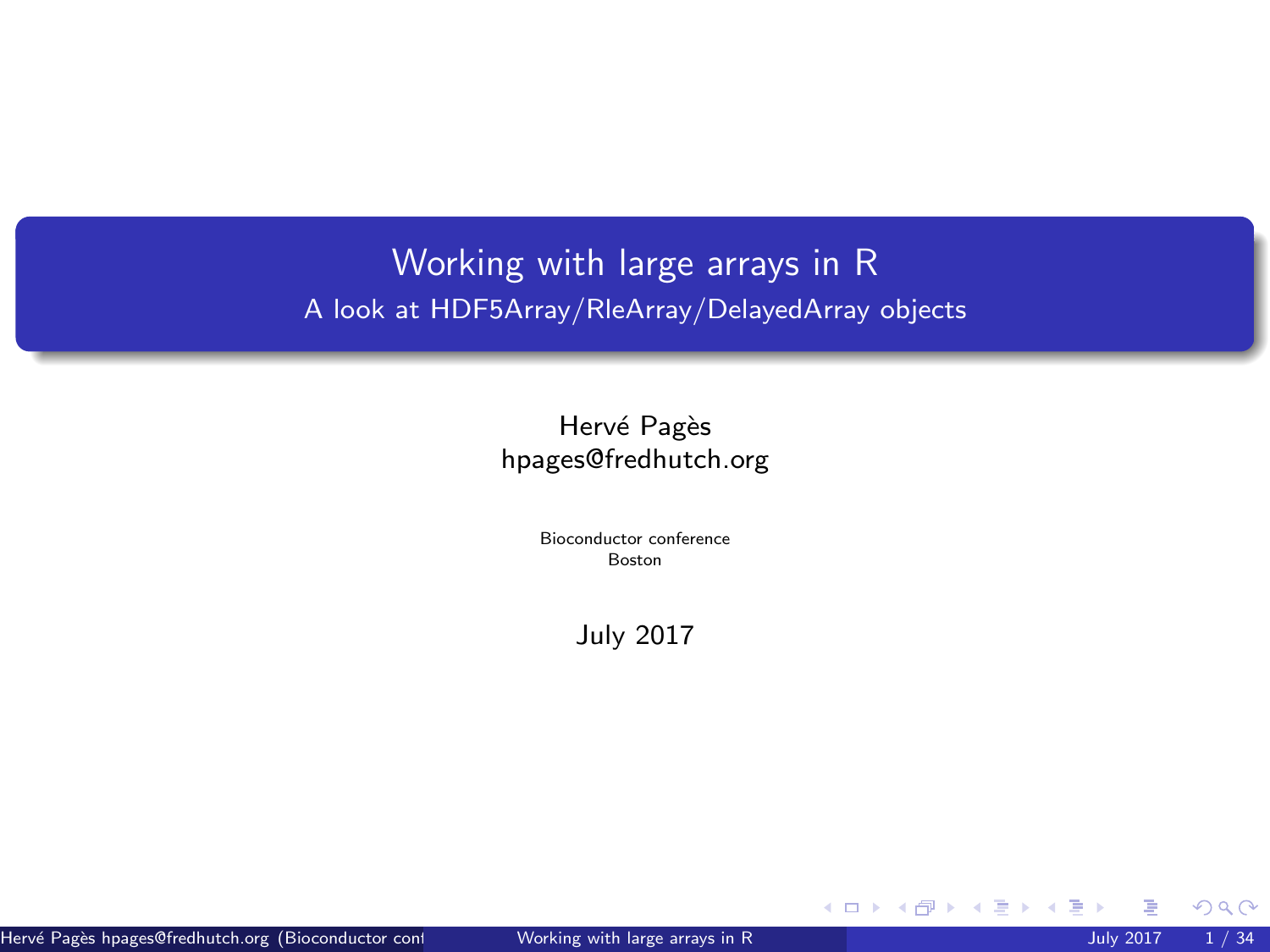# <span id="page-0-0"></span>Working with large arrays in R A look at HDF5Array/RleArray/DelayedArray objects

# Hervé Pagès [hpages@fredhutch.org](mailto:hpages@fredhutch.org)

Bioconductor conference Boston

July 2017

 $299$ 

メロトメ 御 トメ 君 トメ 君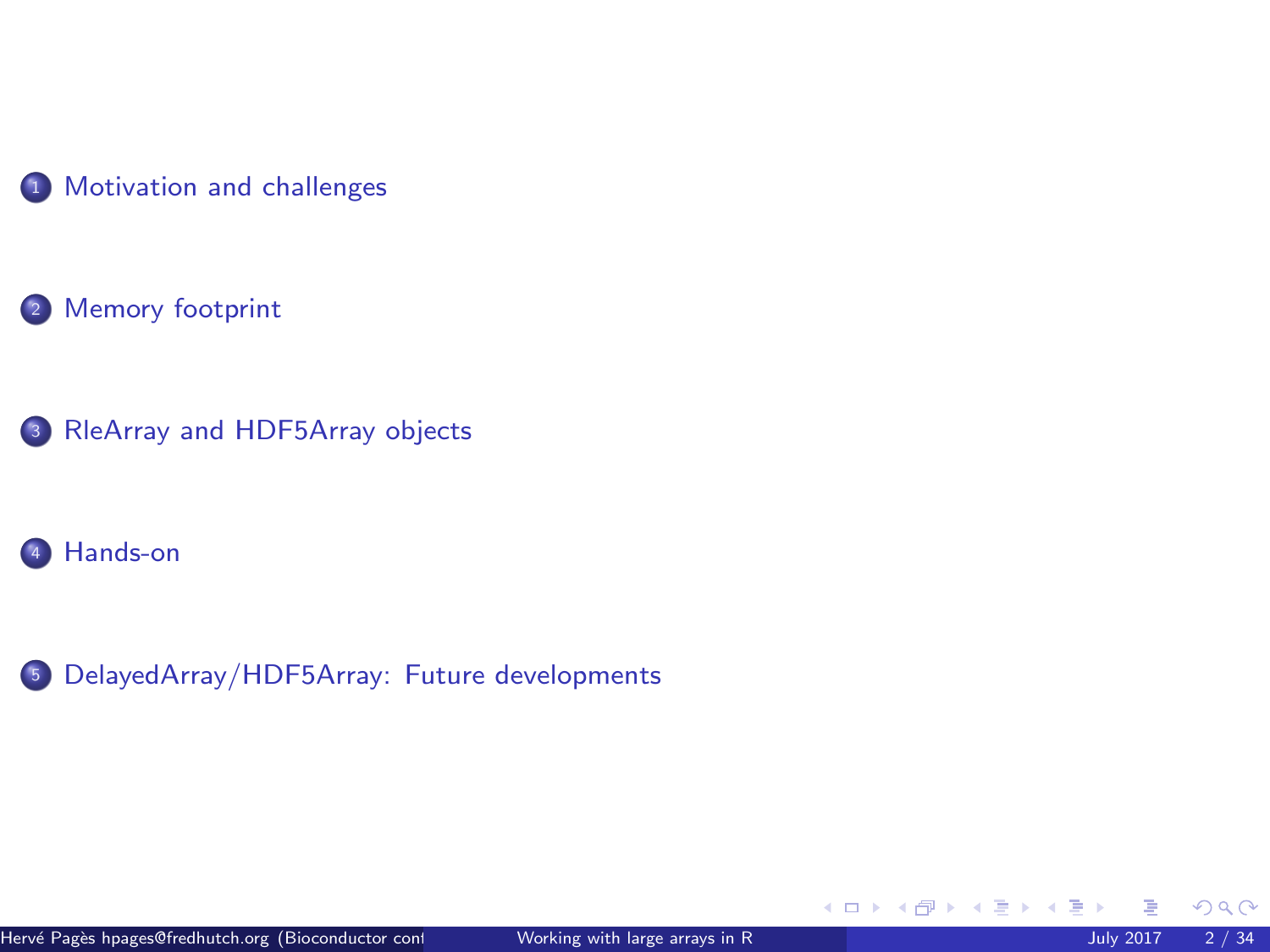

[Memory footprint](#page-8-0)

[RleArray and HDF5Array objects](#page-12-0)

[Hands-on](#page-26-0)

[DelayedArray/HDF5Array: Future developments](#page-30-0)

イロト イ御 トイ ヨ トイ ヨ)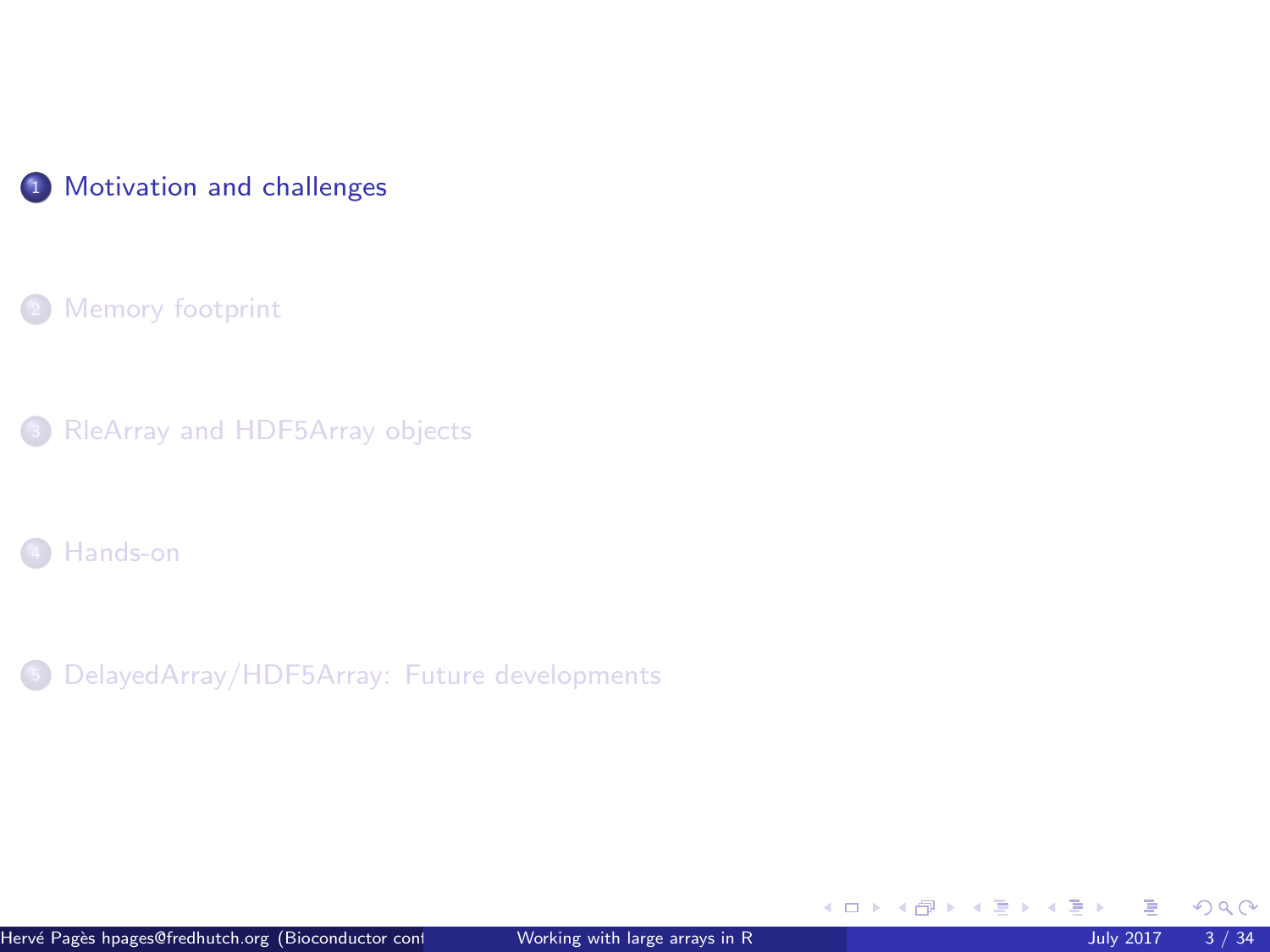<span id="page-2-0"></span>

[Memory footprint](#page-8-0)

[RleArray and HDF5Array objects](#page-12-0)

[Hands-on](#page-26-0)

<sup>5</sup> [DelayedArray/HDF5Array: Future developments](#page-30-0)

 $299$ 

イロト イ御 トイ ヨ トイ ヨ)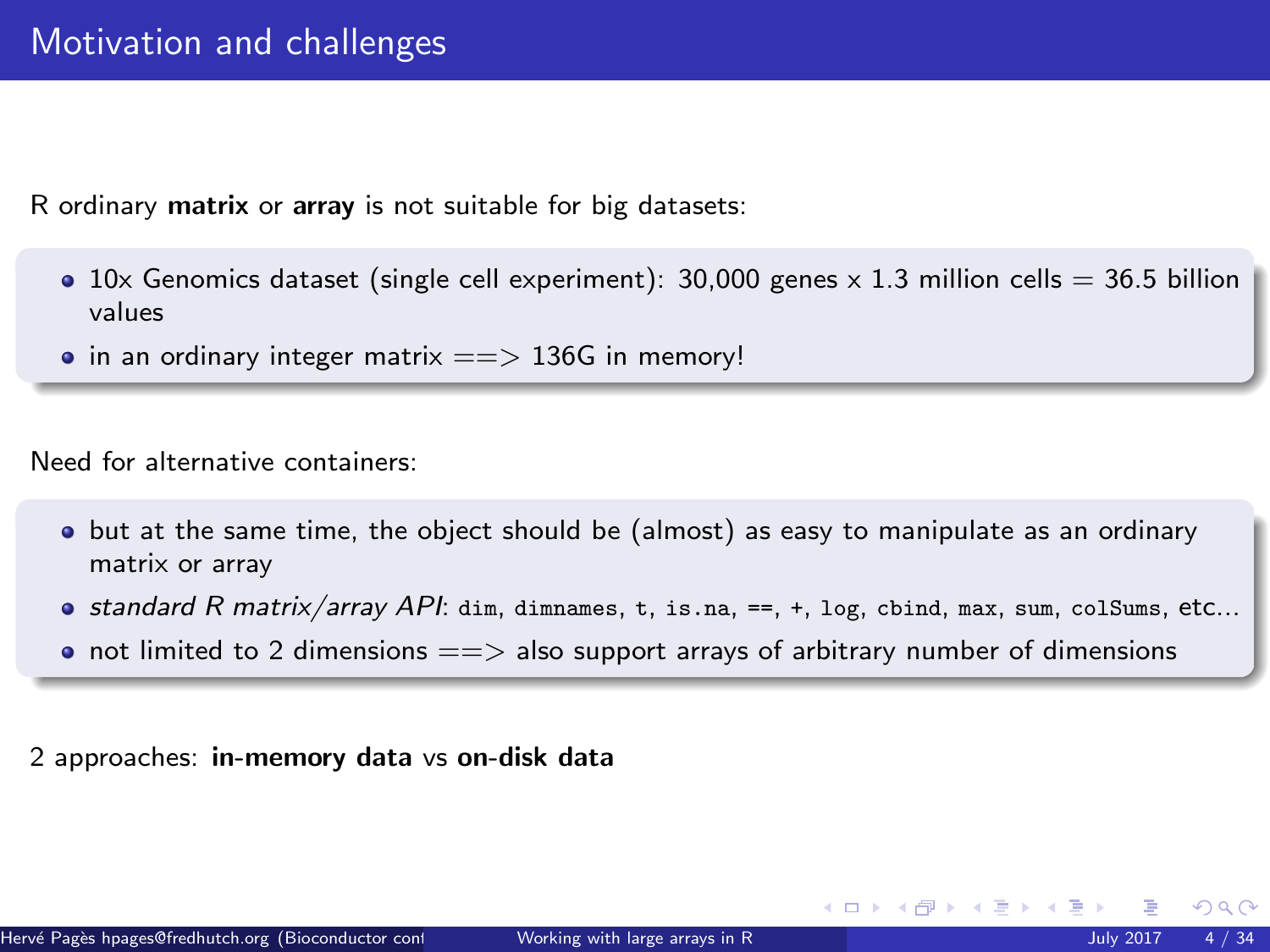R ordinary matrix or array is not suitable for big datasets:

- $\bullet$  10x Genomics dataset (single cell experiment): 30,000 genes x 1.3 million cells = 36.5 billion values
- $\bullet$  in an ordinary integer matrix  $==$  136G in memory!

Need for alternative containers:

- but at the same time, the object should be (almost) as easy to manipulate as an ordinary matrix or array
- $\bullet$  standard R matrix/array API: dim, dimnames, t, is.na, ==, +, log, cbind, max, sum, colSums, etc...
- not limited to 2 dimensions  $=\equiv$  > also support arrays of arbitrary number of dimensions

2 approaches: in-memory data vs on-disk data

 $\Omega$ 

 $\leftarrow$   $\leftarrow$   $\leftarrow$   $\leftarrow$   $\leftarrow$   $\leftarrow$   $\leftarrow$   $\leftarrow$   $\leftarrow$   $\leftarrow$   $\leftarrow$   $\leftarrow$   $\leftarrow$   $\leftarrow$   $\leftarrow$   $\leftarrow$   $\leftarrow$   $\leftarrow$   $\leftarrow$   $\leftarrow$   $\leftarrow$   $\leftarrow$   $\leftarrow$   $\leftarrow$   $\leftarrow$   $\leftarrow$   $\leftarrow$   $\leftarrow$   $\leftarrow$   $\leftarrow$   $\leftarrow$   $\leftarrow$   $\leftarrow$   $\leftarrow$   $\leftarrow$   $\leftarrow$   $\leftarrow$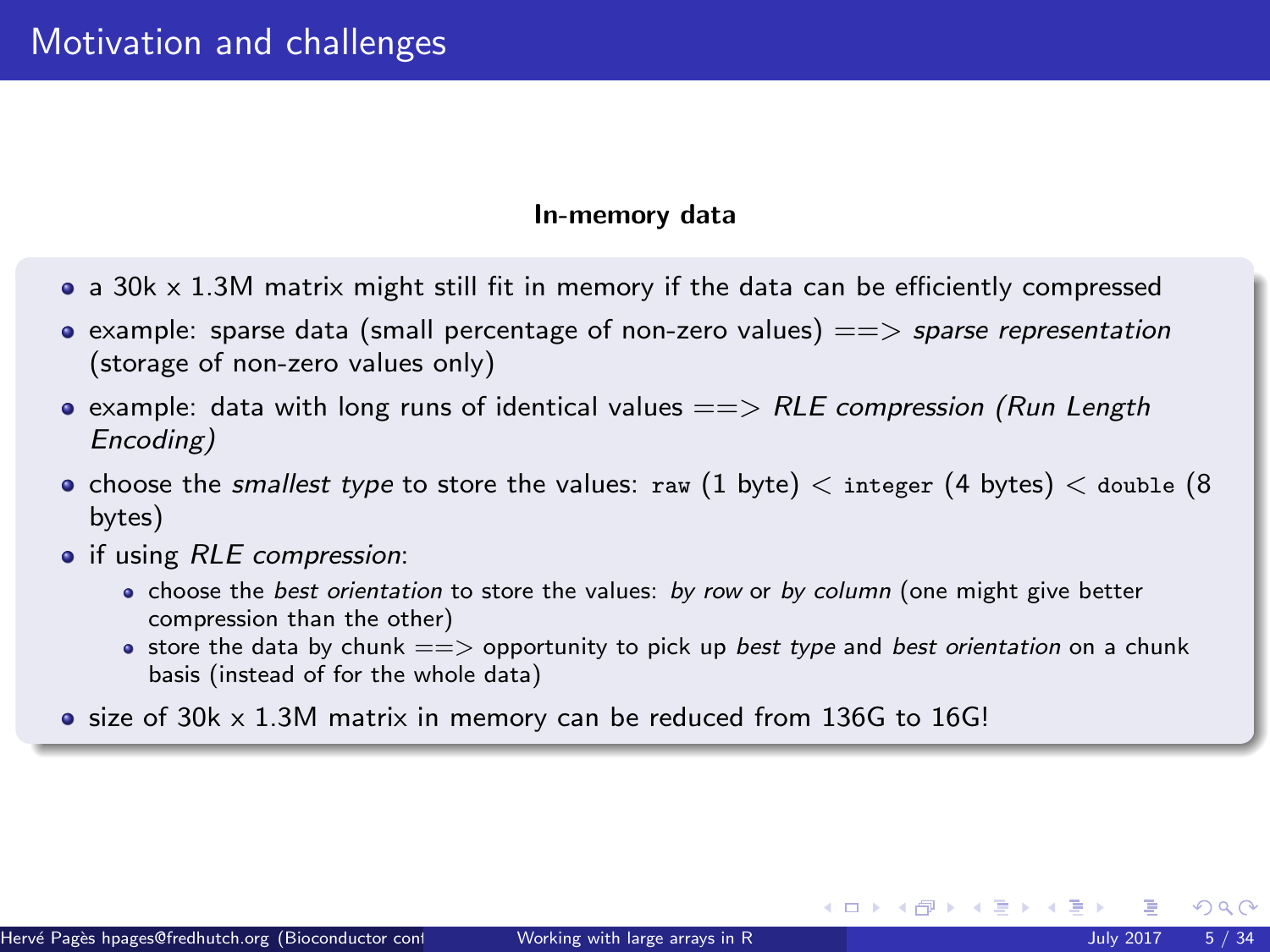#### In-memory data

- $\bullet$  a 30k  $\times$  1.3M matrix might still fit in memory if the data can be efficiently compressed
- example: sparse data (small percentage of non-zero values)  $==>$  sparse representation (storage of non-zero values only)
- example: data with long runs of identical values  $=\Longrightarrow RLE$  compression (Run Length Encoding)
- choose the smallest type to store the values: raw (1 byte)  $\lt$  integer (4 bytes)  $\lt$  double (8 bytes)
- if using RLE compression:
	- choose the *best orientation* to store the values: *by row* or *by column* (one might give better compression than the other)
	- $\bullet$  store the data by chunk  $==$  opportunity to pick up best type and best orientation on a chunk basis (instead of for the whole data)
- $\bullet$  size of 30k  $\times$  1.3M matrix in memory can be reduced from 136G to 16G!

 $\Omega$ 

 $\left\{ \begin{array}{ccc} 1 & 0 & 0 \\ 0 & 1 & 0 \end{array} \right.$  ,  $\left\{ \begin{array}{ccc} \frac{1}{2} & 0 & 0 \\ 0 & 0 & 0 \end{array} \right.$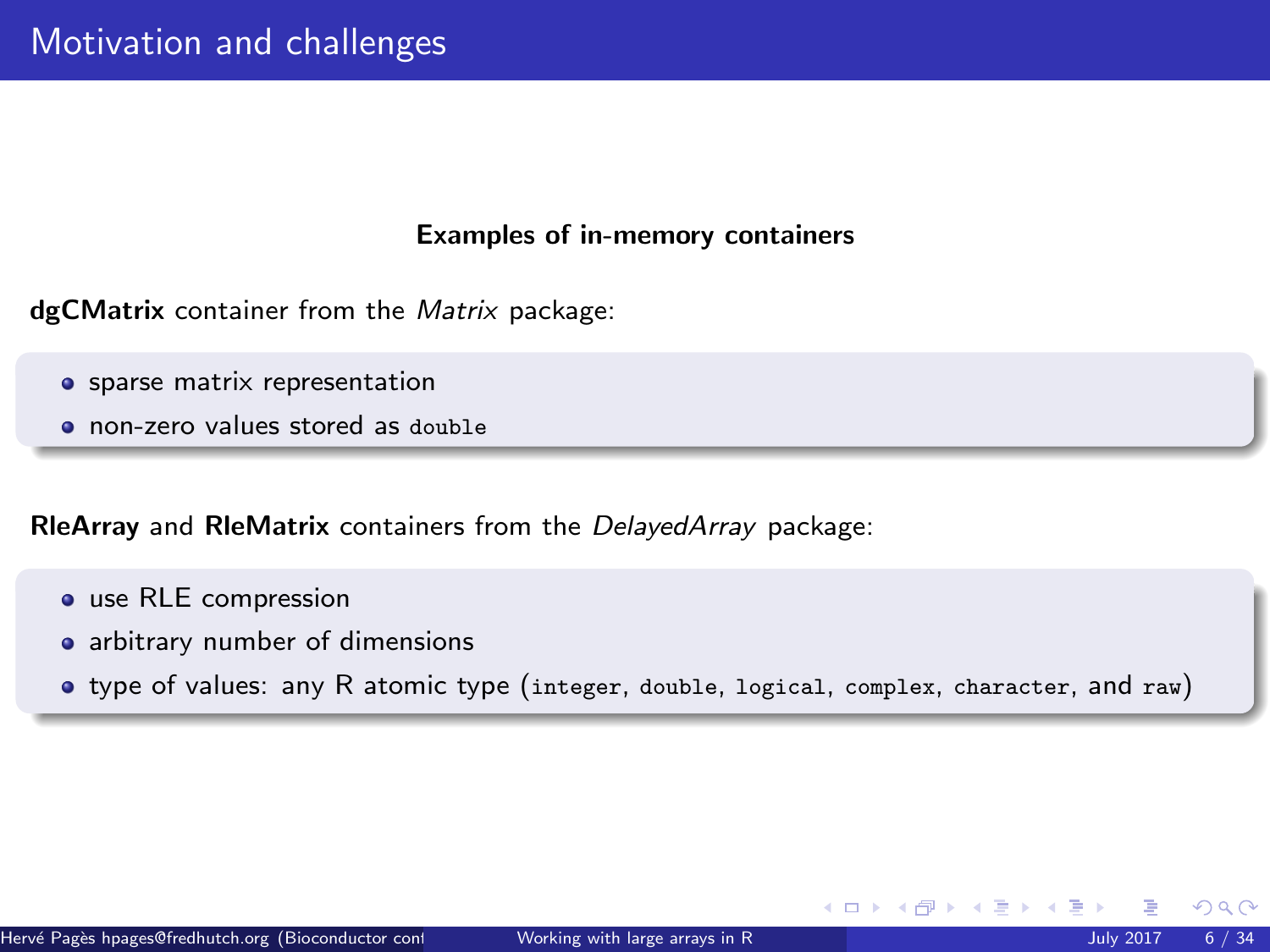### Examples of in-memory containers

dgC[Matrix](http://bioconductor.org/packages/release/bioc/html/Matrix.html) container from the Matrix package:

- **•** sparse matrix representation
- non-zero values stored as double

RleArray and RleMatrix containers from the [DelayedArray](http://bioconductor.org/packages/release/bioc/html/DelayedArray.html) package:

- use RLE compression
- arbitrary number of dimensions
- type of values: any R atomic type (integer, double, logical, complex, character, and raw)

 $\Omega$ 

イロト イ御 トイ ヨ トイ語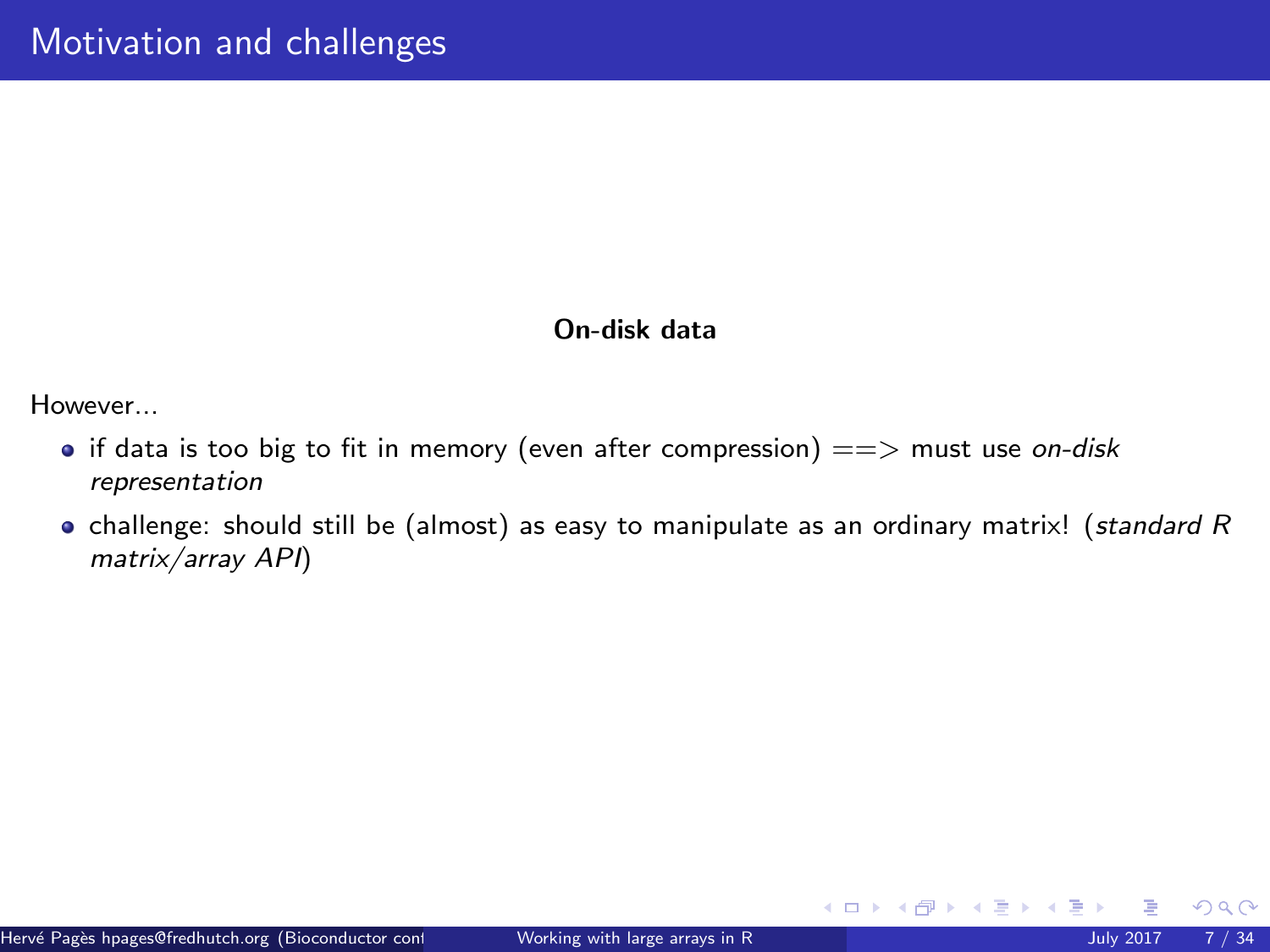# On-disk data

However...

- if data is too big to fit in memory (even after compression)  $==>$  must use on-disk representation
- challenge: should still be (almost) as easy to manipulate as an ordinary matrix! (standard R matrix/array API)

 $298$ 

メロトメ 倒 トメ ヨ トメ ヨト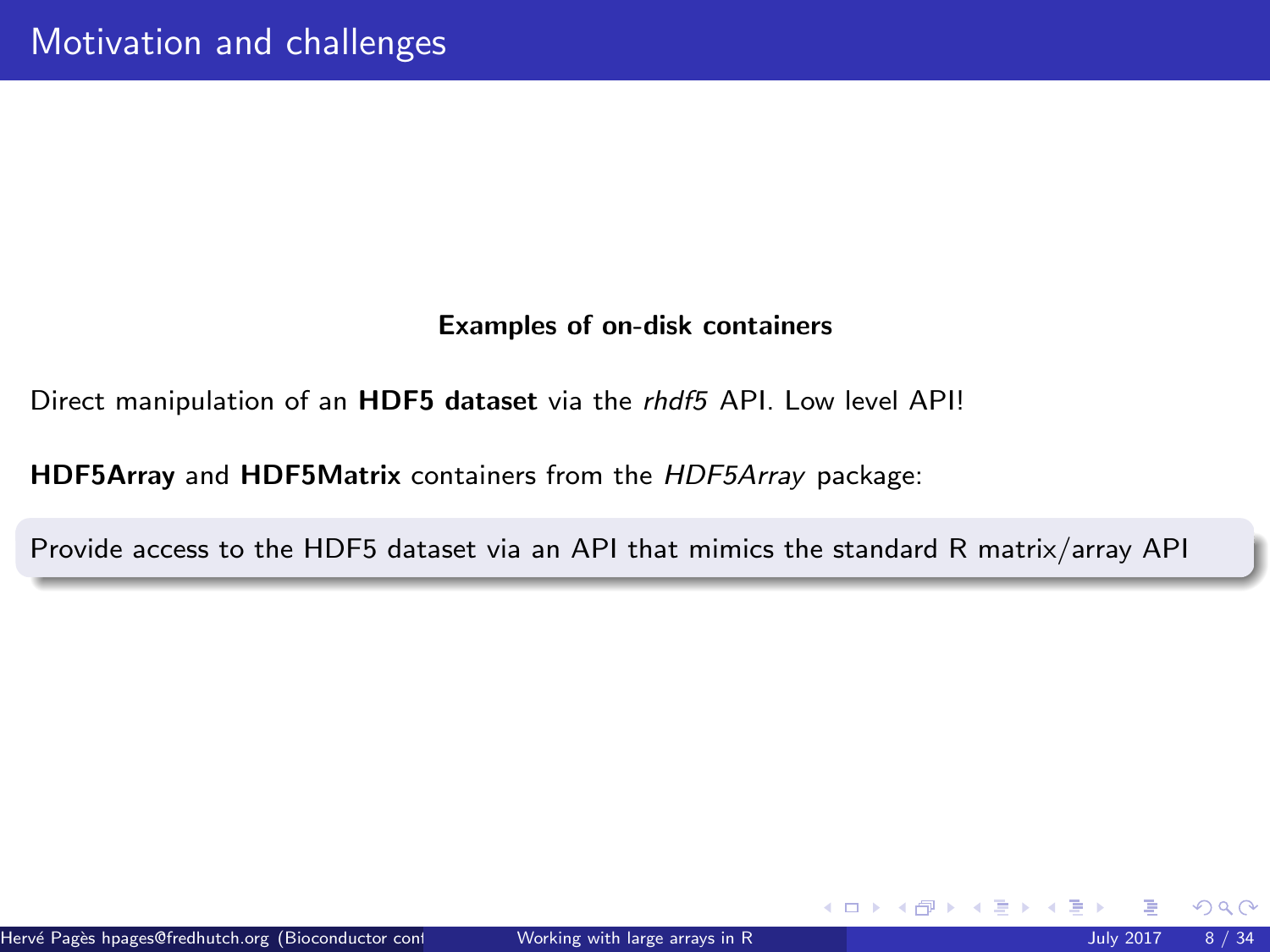# Examples of on-disk containers

Direct manipulation of an HDF5 dataset via the [rhdf5](http://bioconductor.org/packages/release/bioc/html/rhdf5.html) API. Low level API!

HDF5Array and HDF5Matrix containers from the [HDF5Array](http://bioconductor.org/packages/release/bioc/html/HDF5Array.html) package:

Provide access to the HDF5 dataset via an API that mimics the standard R matrix/array API

 $\Omega$ 

イロト イ御 トイ ヨ トイ語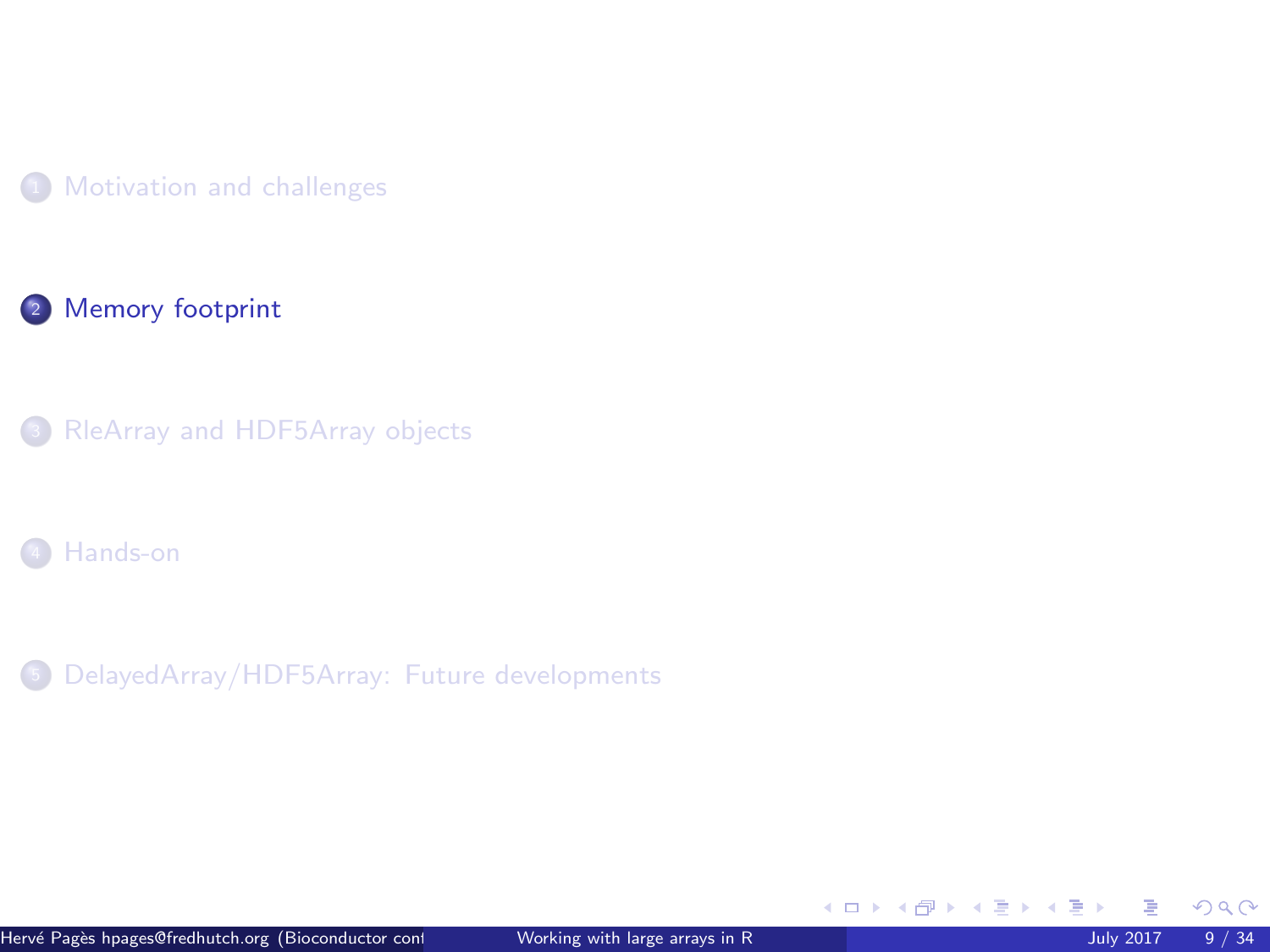<span id="page-8-0"></span>



[RleArray and HDF5Array objects](#page-12-0)

[Hands-on](#page-26-0)

[DelayedArray/HDF5Array: Future developments](#page-30-0)

イロト イ御 トイ ヨ トイ ヨ)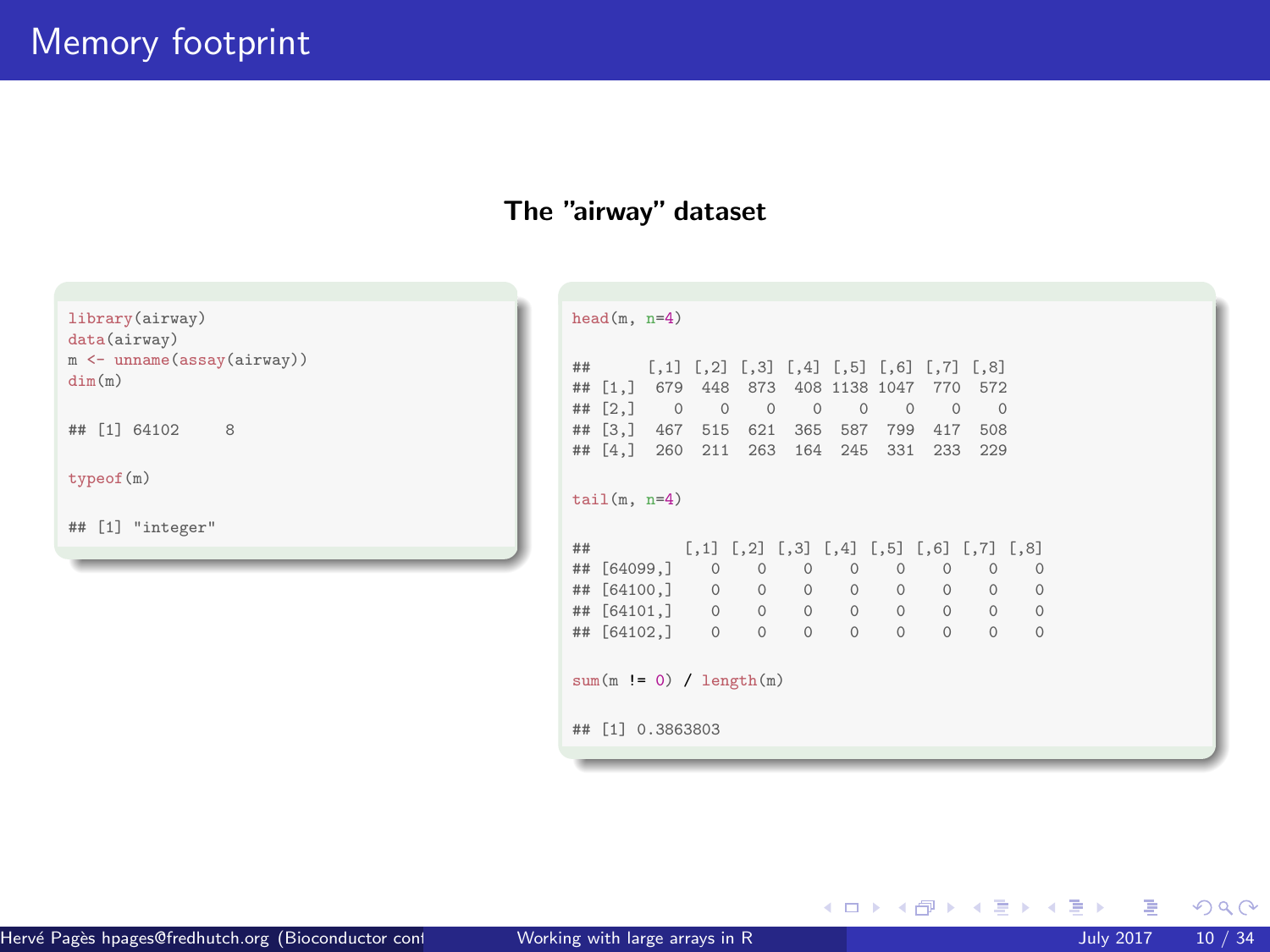# The "airway" dataset

library(airway) data(airway) m <- unname(assay(airway)) dim(m)

## [1] 64102 8

typeof(m)

## [1] "integer"

| head $(m, n=4)$                           |                                    |                                                                 |          |                   |                |          |             |                     |  |  |
|-------------------------------------------|------------------------------------|-----------------------------------------------------------------|----------|-------------------|----------------|----------|-------------|---------------------|--|--|
|                                           |                                    |                                                                 |          |                   |                |          |             |                     |  |  |
| ##                                        |                                    | $[0.1]$ $[0.2]$ $[0.3]$ $[0.4]$ $[0.5]$ $[0.6]$ $[0.7]$ $[0.8]$ |          |                   |                |          |             |                     |  |  |
| ## [1,] 679 448 873 408 1138 1047 770 572 |                                    |                                                                 |          |                   |                |          |             |                     |  |  |
| ## $[2, 3 \ 0$                            |                                    | $0\qquad 0$                                                     | $\sim$ 0 | $\overline{0}$    | $\overline{0}$ |          | $0\qquad 0$ |                     |  |  |
| ##                                        | $[3,]$ 467 515 621 365 587 799 417 |                                                                 |          |                   |                |          | 508         |                     |  |  |
| ## [4,] 260 211 263 164 245 331 233       |                                    |                                                                 |          |                   |                |          | 229         |                     |  |  |
|                                           |                                    |                                                                 |          |                   |                |          |             |                     |  |  |
| $tail(m, n=4)$                            |                                    |                                                                 |          |                   |                |          |             |                     |  |  |
|                                           |                                    |                                                                 |          |                   |                |          |             |                     |  |  |
| ##                                        |                                    | $[0,1]$ $[0,2]$ $[0,3]$ $[0,4]$ $[0,5]$ $[0,6]$ $[0,7]$ $[0,8]$ |          |                   |                |          |             |                     |  |  |
| ## [64099,] 0 0                           |                                    |                                                                 | $\Omega$ | $\Omega$          | $\Omega$       | $\Omega$ | $\Omega$    | $\Omega$            |  |  |
| ##                                        | [64100, ] 0 0                      |                                                                 |          | $0\qquad 0\qquad$ |                | 0        | $\circ$     | $\circ$<br>$\Omega$ |  |  |
| ##                                        | [64101,] 0 0                       |                                                                 |          | $0\qquad 0$       |                | 0        | $\circ$     | $\circ$<br>$\circ$  |  |  |
| ## [64102, ] 0 0                          |                                    |                                                                 | $\Omega$ | $\Omega$          | $\Omega$       | $\Omega$ | $\Omega$    | $\Omega$            |  |  |
|                                           |                                    |                                                                 |          |                   |                |          |             |                     |  |  |
| $sum(m != 0) / length(m)$                 |                                    |                                                                 |          |                   |                |          |             |                     |  |  |
|                                           |                                    |                                                                 |          |                   |                |          |             |                     |  |  |
| ##                                        | [1] 0.3863803                      |                                                                 |          |                   |                |          |             |                     |  |  |
|                                           |                                    |                                                                 |          |                   |                |          |             |                     |  |  |
|                                           |                                    |                                                                 |          |                   |                |          |             |                     |  |  |

メロトメ 倒 トメ ヨ トメ ヨト

 $299$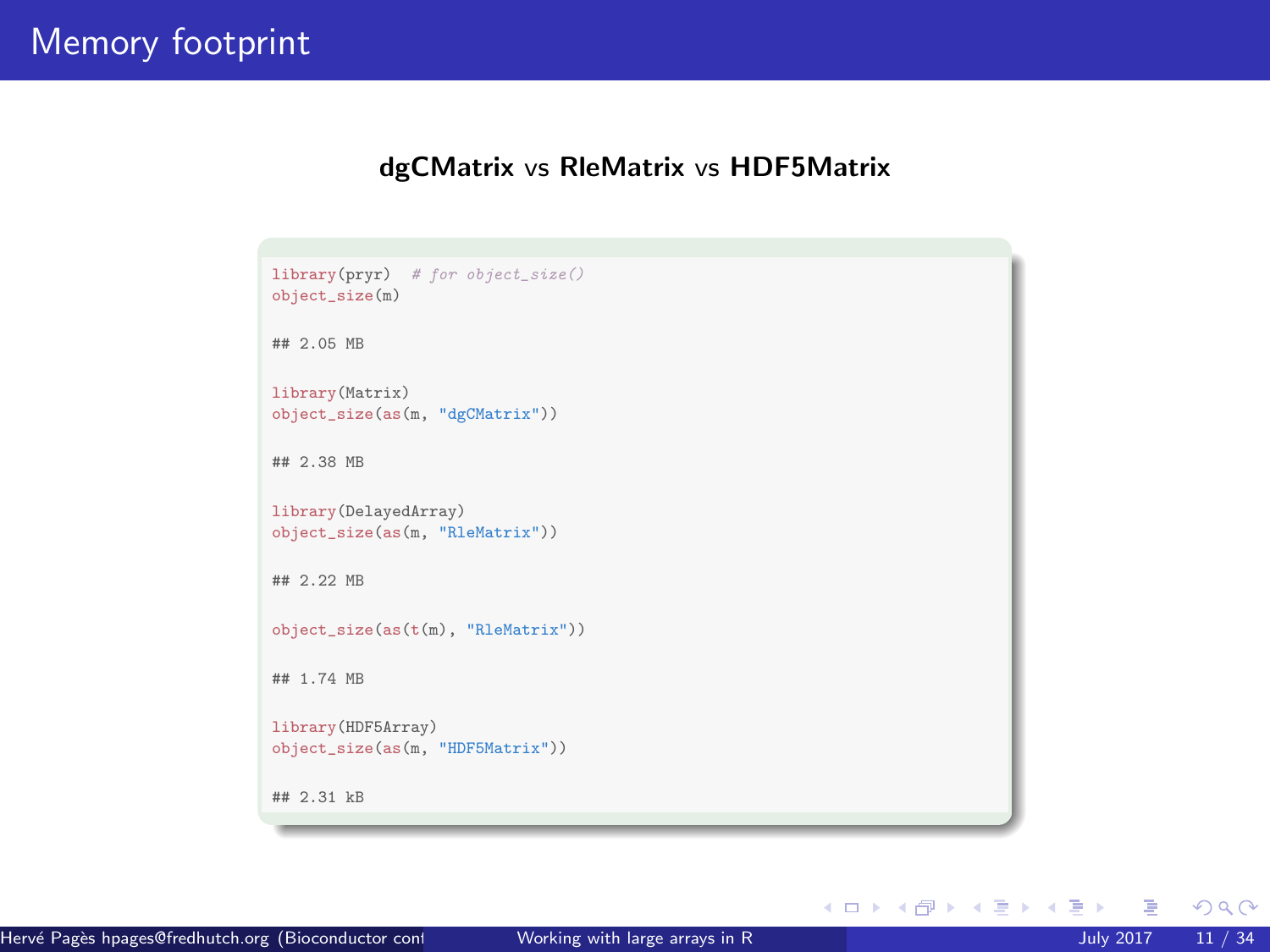#### dgCMatrix vs RleMatrix vs HDF5Matrix

```
library(pryr) # for object_size()
object_size(m)
## 2.05 MB
library(Matrix)
object_size(as(m, "dgCMatrix"))
## 2.38 MB
library(DelayedArray)
object_size(as(m, "RleMatrix"))
## 2.22 MB
object_size(as(t(m), "RleMatrix"))
## 1.74 MB
library(HDF5Array)
object_size(as(m, "HDF5Matrix"))
## 2.31 kB
```
 $298$ 

メロトメ 御 トメ ヨ トメ ヨト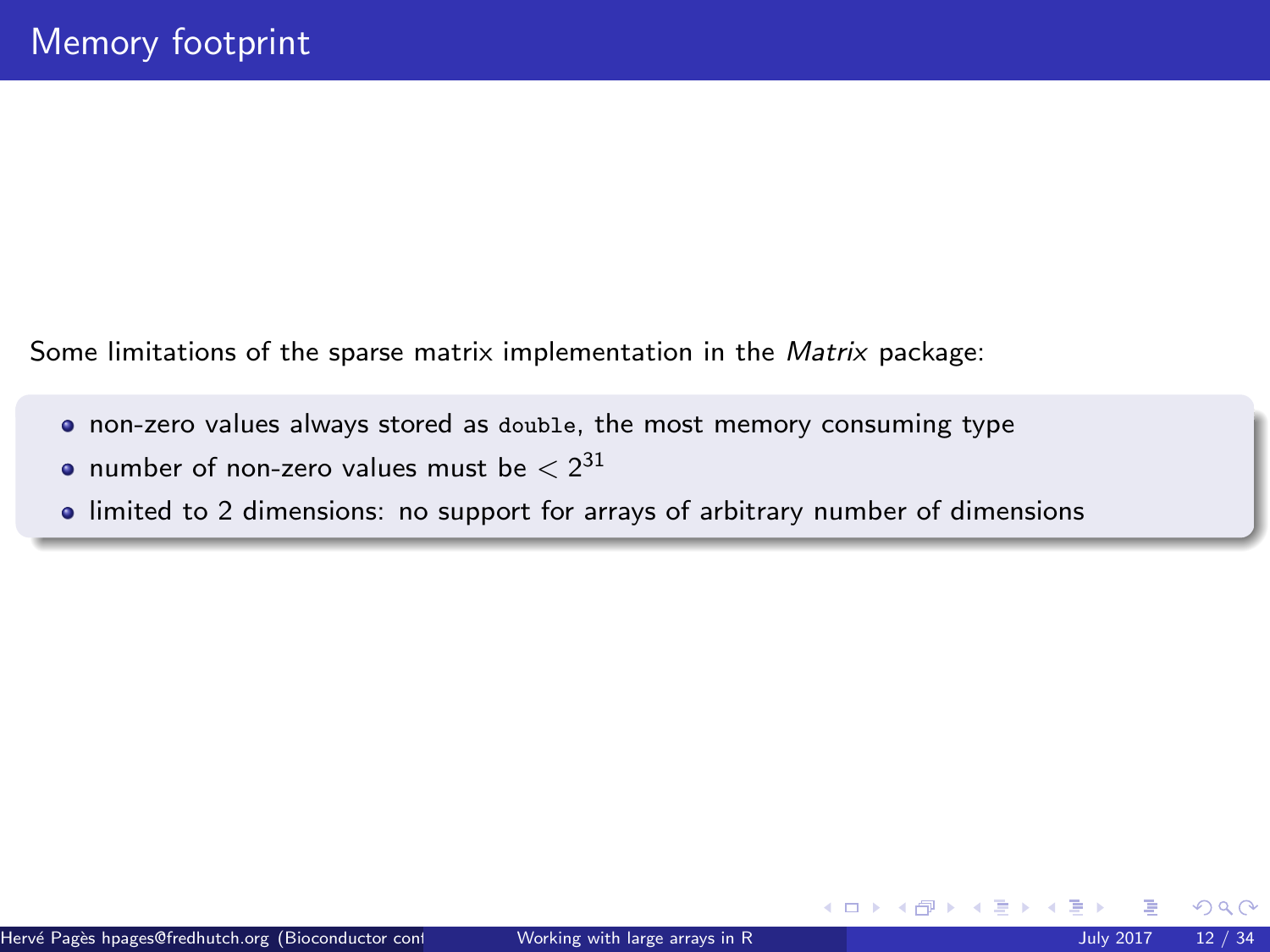Some limitations of the sparse matrix implementation in the [Matrix](http://bioconductor.org/packages/release/bioc/html/Matrix.html) package:

- non-zero values always stored as double, the most memory consuming type
- number of non-zero values must be  $< 2^{31}$
- limited to 2 dimensions: no support for arrays of arbitrary number of dimensions

 $\Omega$ 

イロト イ御 トイ ヨ トイ語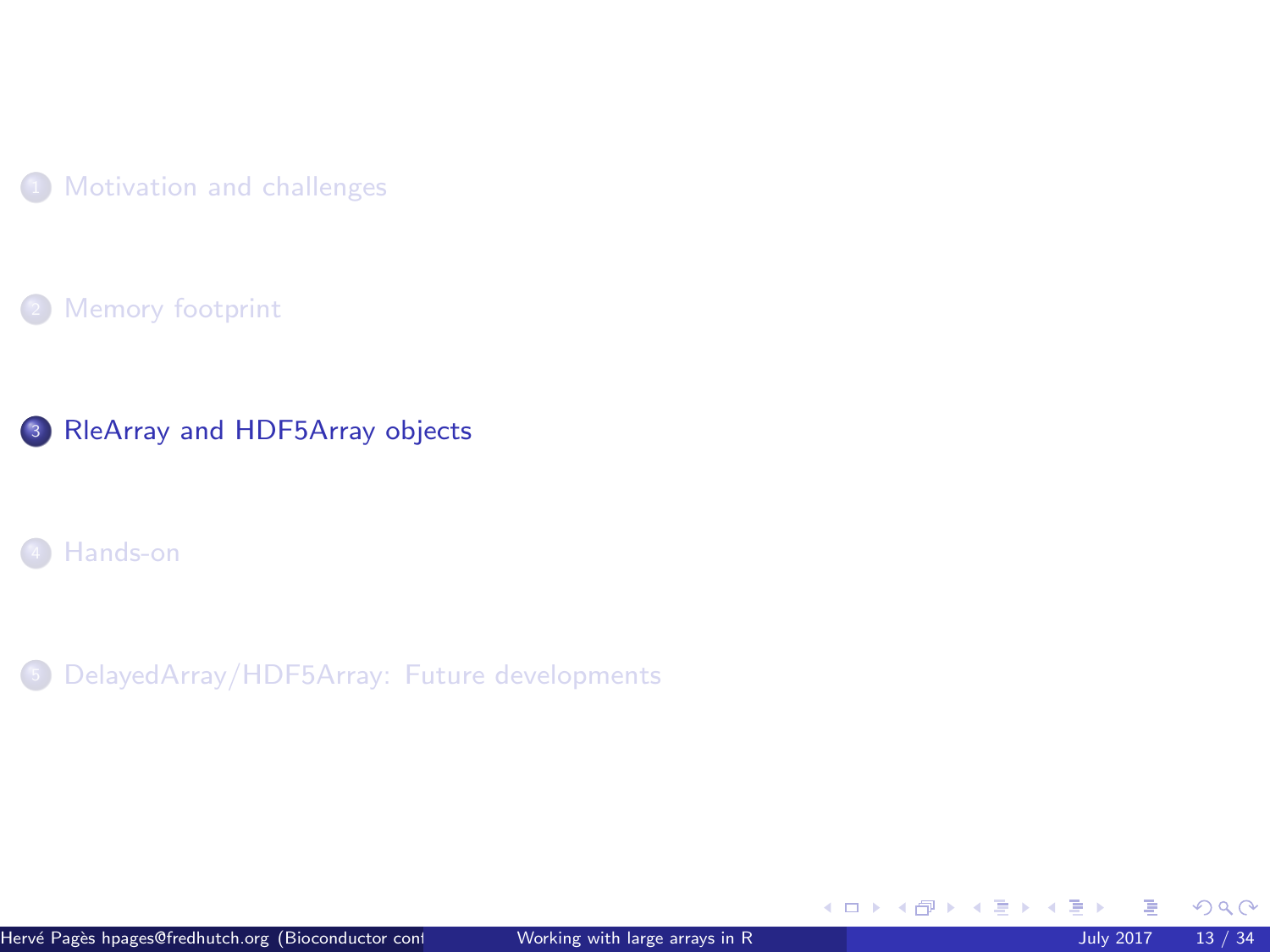<span id="page-12-0"></span>

[Memory footprint](#page-8-0)



[Hands-on](#page-26-0)

<sup>5</sup> [DelayedArray/HDF5Array: Future developments](#page-30-0)

 $299$ 

メロメメ 倒 メメ ミメメ 毛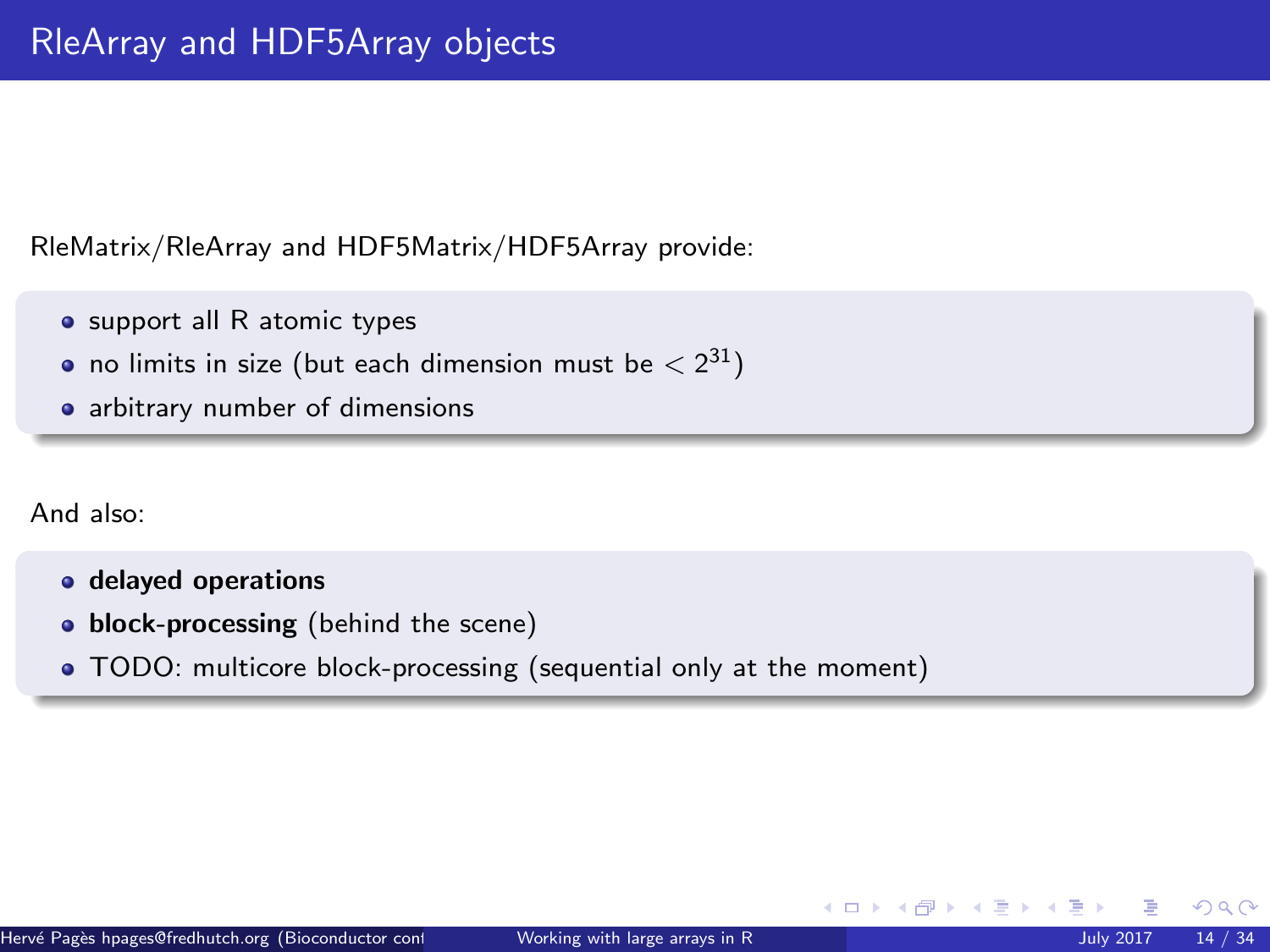RleMatrix/RleArray and HDF5Matrix/HDF5Array provide:

- support all R atomic types
- no limits in size (but each dimension must be  $< 2^{31})$
- arbitrary number of dimensions

And also:

- delayed operations
- block-processing (behind the scene)
- TODO: multicore block-processing (sequential only at the moment)

 $\Omega$ 

 $\leftarrow$   $\leftarrow$   $\leftarrow$   $\leftarrow$   $\leftarrow$   $\leftarrow$   $\leftarrow$   $\leftarrow$   $\leftarrow$   $\leftarrow$   $\leftarrow$   $\leftarrow$   $\leftarrow$   $\leftarrow$   $\leftarrow$   $\leftarrow$   $\leftarrow$   $\leftarrow$   $\leftarrow$   $\leftarrow$   $\leftarrow$   $\leftarrow$   $\leftarrow$   $\leftarrow$   $\leftarrow$   $\leftarrow$   $\leftarrow$   $\leftarrow$   $\leftarrow$   $\leftarrow$   $\leftarrow$   $\leftarrow$   $\leftarrow$   $\leftarrow$   $\leftarrow$   $\leftarrow$   $\leftarrow$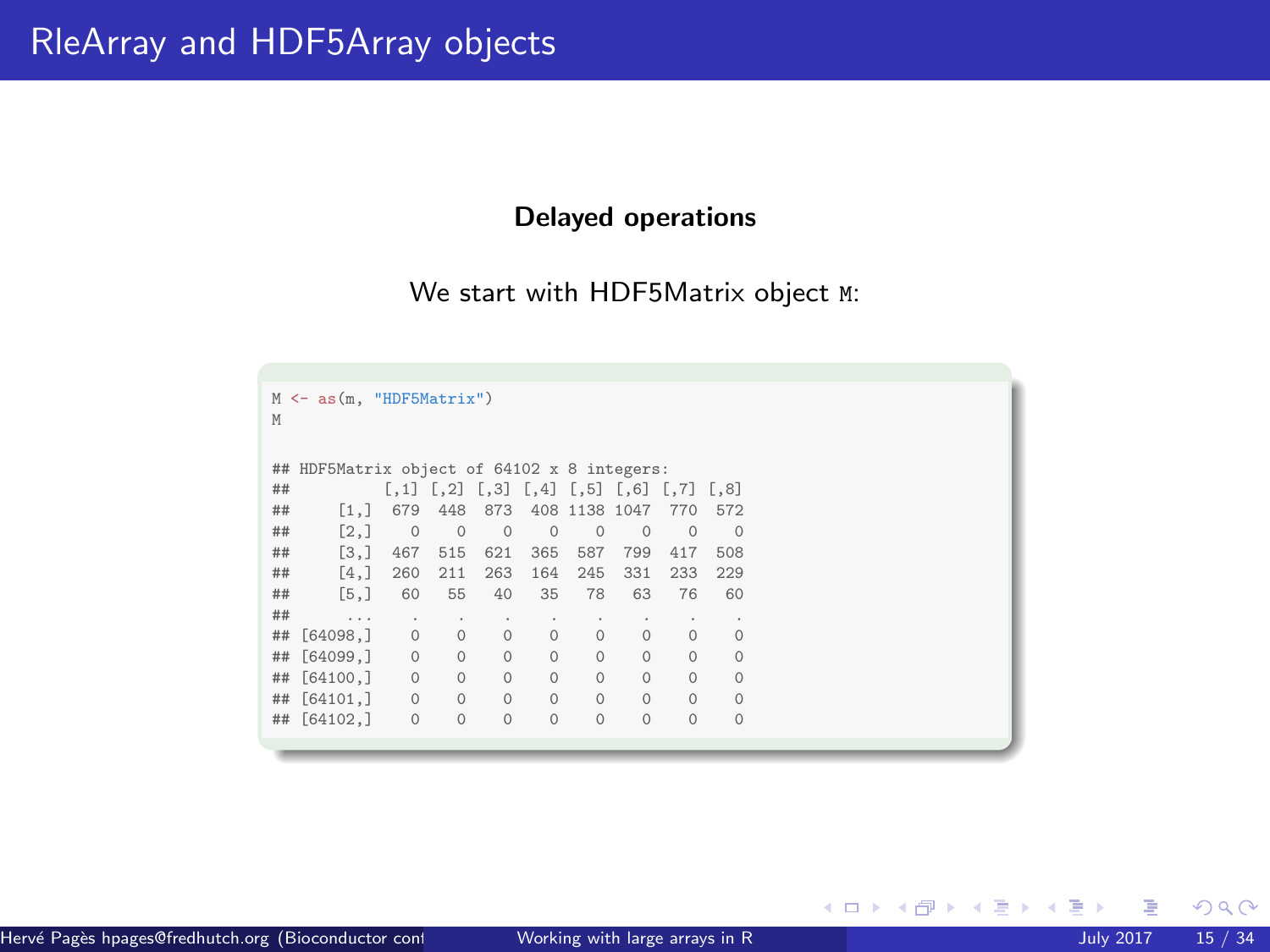# Delayed operations

We start with HDF5Matrix object M:

| $\leftarrow$ as $(m, "HDF5Matrix")$<br>M<br>M |                                          |         |              |                |          |               |          |                                                                 |          |  |  |  |
|-----------------------------------------------|------------------------------------------|---------|--------------|----------------|----------|---------------|----------|-----------------------------------------------------------------|----------|--|--|--|
| ##                                            | HDF5Matrix object of 64102 x 8 integers: |         |              |                |          |               |          |                                                                 |          |  |  |  |
| ##                                            |                                          |         |              |                |          |               |          | $[0.1]$ $[0.2]$ $[0.3]$ $[0.4]$ $[0.5]$ $[0.6]$ $[0.7]$ $[0.8]$ |          |  |  |  |
| ##                                            | $\lceil 1.1 \rceil$                      | 679     | 448          | 873            |          | 408 1138 1047 |          | 770                                                             | 572      |  |  |  |
| ##                                            | [2,]                                     | $\circ$ | $\circ$      | $\overline{0}$ | $\circ$  | $\circ$       | $\circ$  | $\circ$                                                         | $\Omega$ |  |  |  |
| ##                                            | [3,]                                     | 467     | 515          | 621            | 365      | 587           | 799      | 417                                                             | 508      |  |  |  |
| ##                                            | [4,]                                     | 260     | 211          | 263            | 164      | 245           | 331      | 233                                                             | 229      |  |  |  |
| ##                                            | [5,]                                     | 60      | 55           | 40             | 35       | 78            | 63       | 76                                                              | 60       |  |  |  |
| ##                                            | $\sim$ $\sim$                            | ٠       | $\mathbf{r}$ | ٠              | ٠        | $\lambda$     | ٠        | ٠                                                               | ٠        |  |  |  |
| ##                                            | [64098.]                                 | $\circ$ | $\circ$      | $\circ$        | $\circ$  | $\circ$       | $\circ$  | $\circ$                                                         | $\circ$  |  |  |  |
| ##                                            | [64099.]                                 | $\circ$ | $\circ$      | $\Omega$       | $\Omega$ | $\Omega$      | $\circ$  | $\Omega$                                                        | $\circ$  |  |  |  |
| ##                                            | [64100,]                                 | $\circ$ | $\circ$      | $\Omega$       | $\Omega$ | $\Omega$      | $\Omega$ | $\Omega$                                                        | $\Omega$ |  |  |  |
| ##                                            | [64101, ]                                | $\circ$ | $\circ$      | $\circ$        | $\Omega$ | $\Omega$      | $\Omega$ | $\Omega$                                                        | $\Omega$ |  |  |  |
| ##                                            | [64102, ]                                | $\circ$ | $\circ$      | $\Omega$       | $\circ$  | $\Omega$      | $\Omega$ | $\Omega$                                                        | $\circ$  |  |  |  |
|                                               |                                          |         |              |                |          |               |          |                                                                 |          |  |  |  |

 $299$ 

**K ロ ▶ K 御 ▶ K 君 ▶ K 君**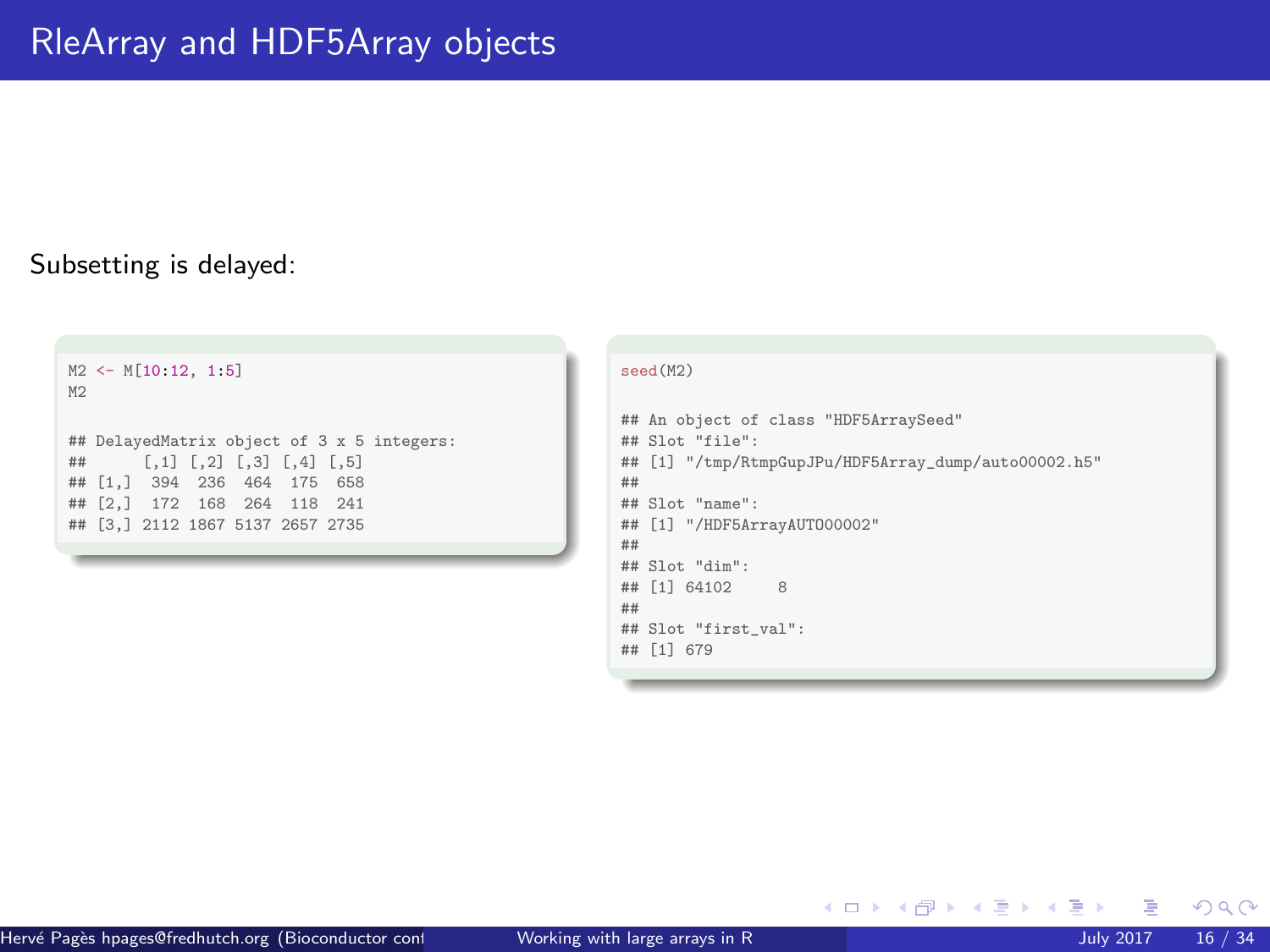## Subsetting is delayed:





メロメ メタメメ ミメメ ヨメ

 $\Omega$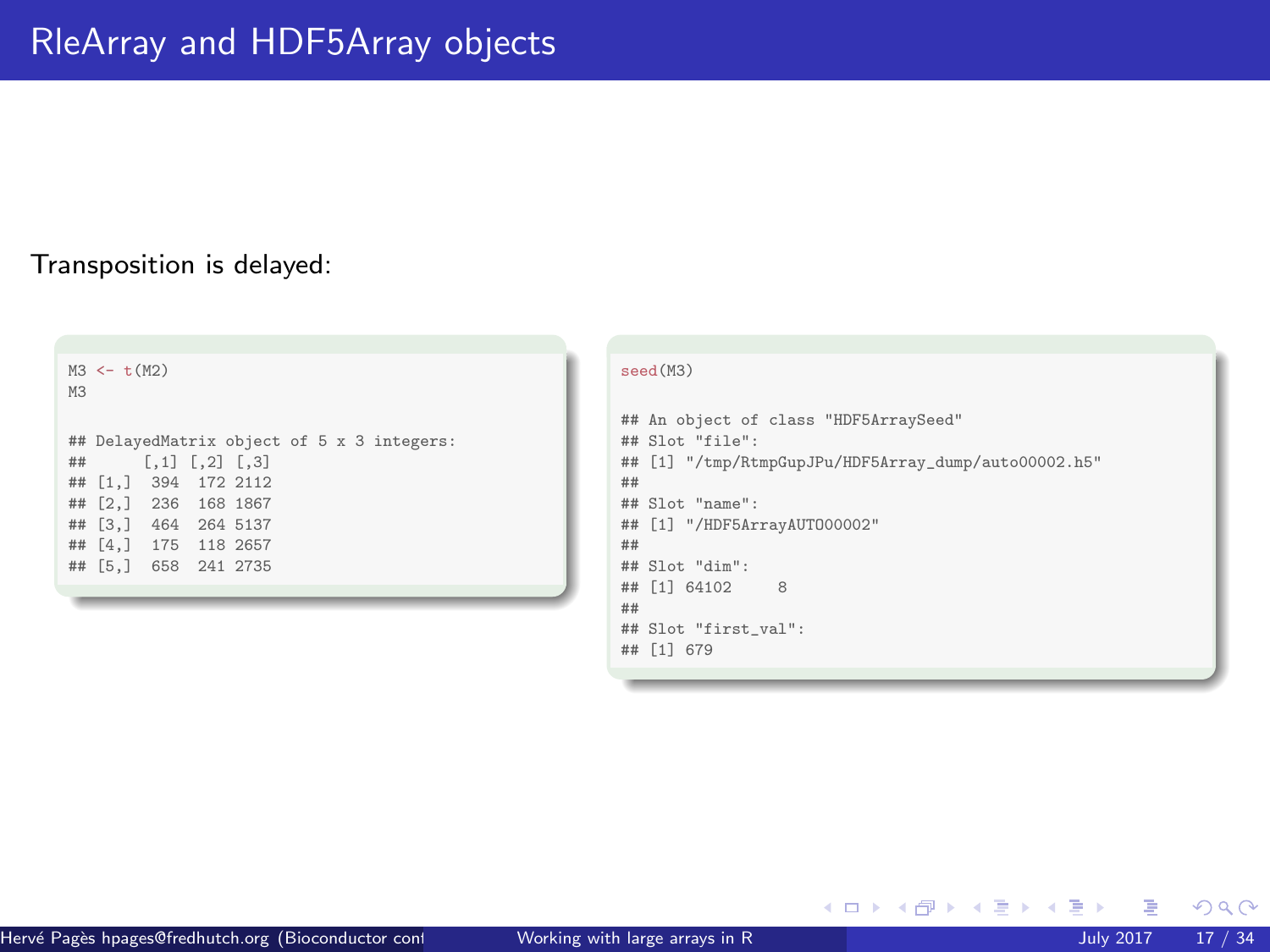## Transposition is delayed:

```
M3 \leftarrow t(M2)M3
## DelayedMatrix object of 5 x 3 integers:
       [,1] [,2] [,3]## [1,] 394 172 2112
## [2,] 236 168 1867
## [3,] 464 264 5137
## [4,] 175 118 2657
## [5,] 658 241 2735
```


メロメメ 倒 メメ きょくきょ

 $299$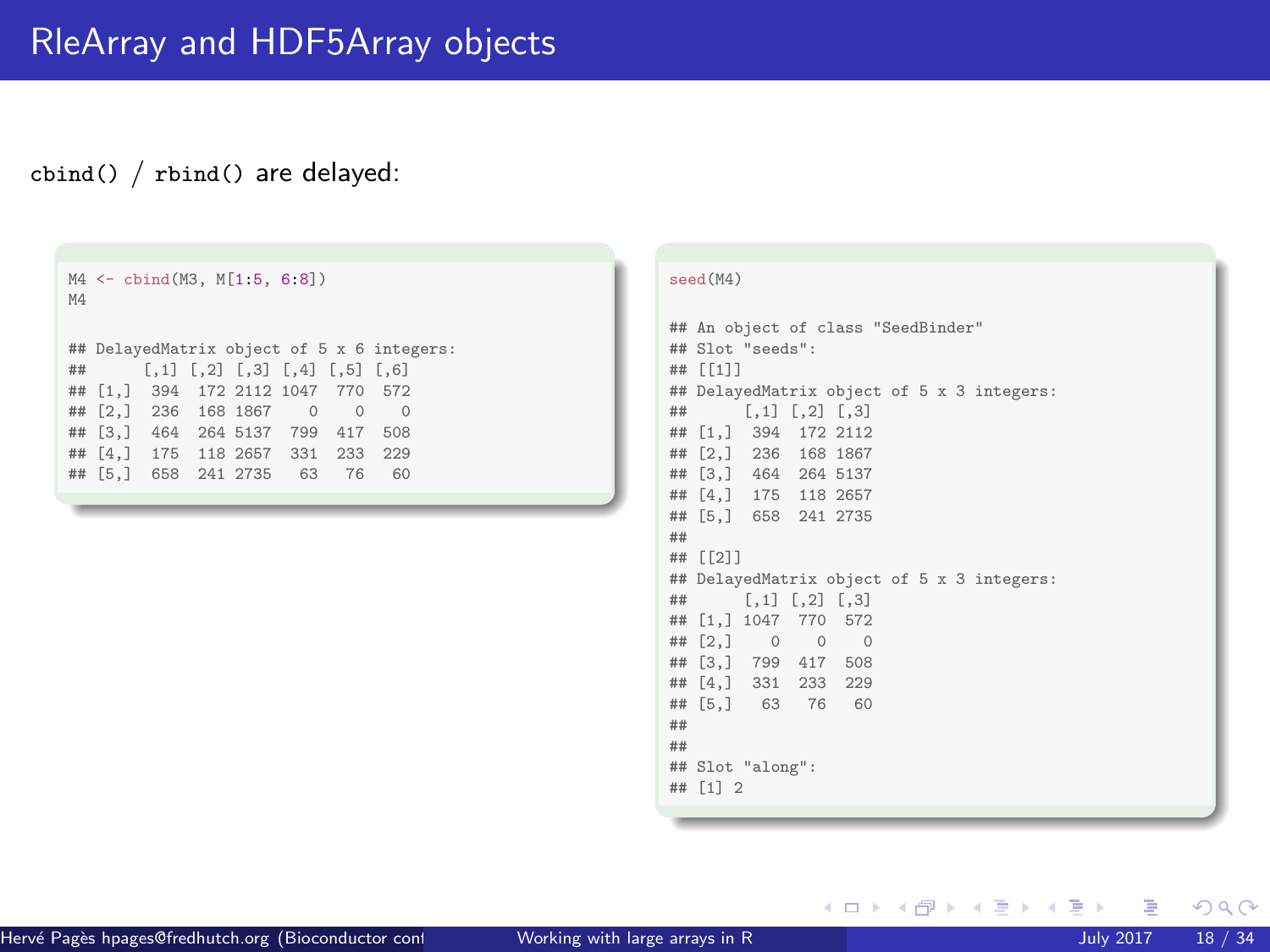#### cbind() / rbind() are delayed:

```
M4 <- cbind(M3, M[1:5, 6:8])
MA<sup>1</sup>
## DelayedMatrix object of 5 x 6 integers:
       [1,1] [1,2] [1,3] [1,4] [1,5] [1,6]## [1,] 394 172 2112 1047 770 572
## [2,] 236 168 1867 0 0 0
## [3,] 464 264 5137 799 417 508
## [4,] 175 118 2657 331 233 229
## [5,] 658 241 2735 63 76
```
#### seed(M4)

```
## An object of class "SeedBinder"
## Slot "seeds":
## [[1]]
## DelayedMatrix object of 5 x 3 integers:
## [,1] [,2] [,3]
## [1,] 394 172 2112
## [2,] 236 168 1867
## [3,] 464 264 5137
## [4,] 175 118 2657
## [5,] 658 241 2735
##
## [[2]]
## DelayedMatrix object of 5 x 3 integers:
## [,1] [,2] [,3]
## [1,] 1047 770 572
## [2,] 0 0 0
## [3,] 799 417 508
## [4,] 331 233 229
## [5,] 63 76 60
##
##
## Slot "along":
## [1] 2
```
メロメメ 倒 メメ きょくきょう

 $299$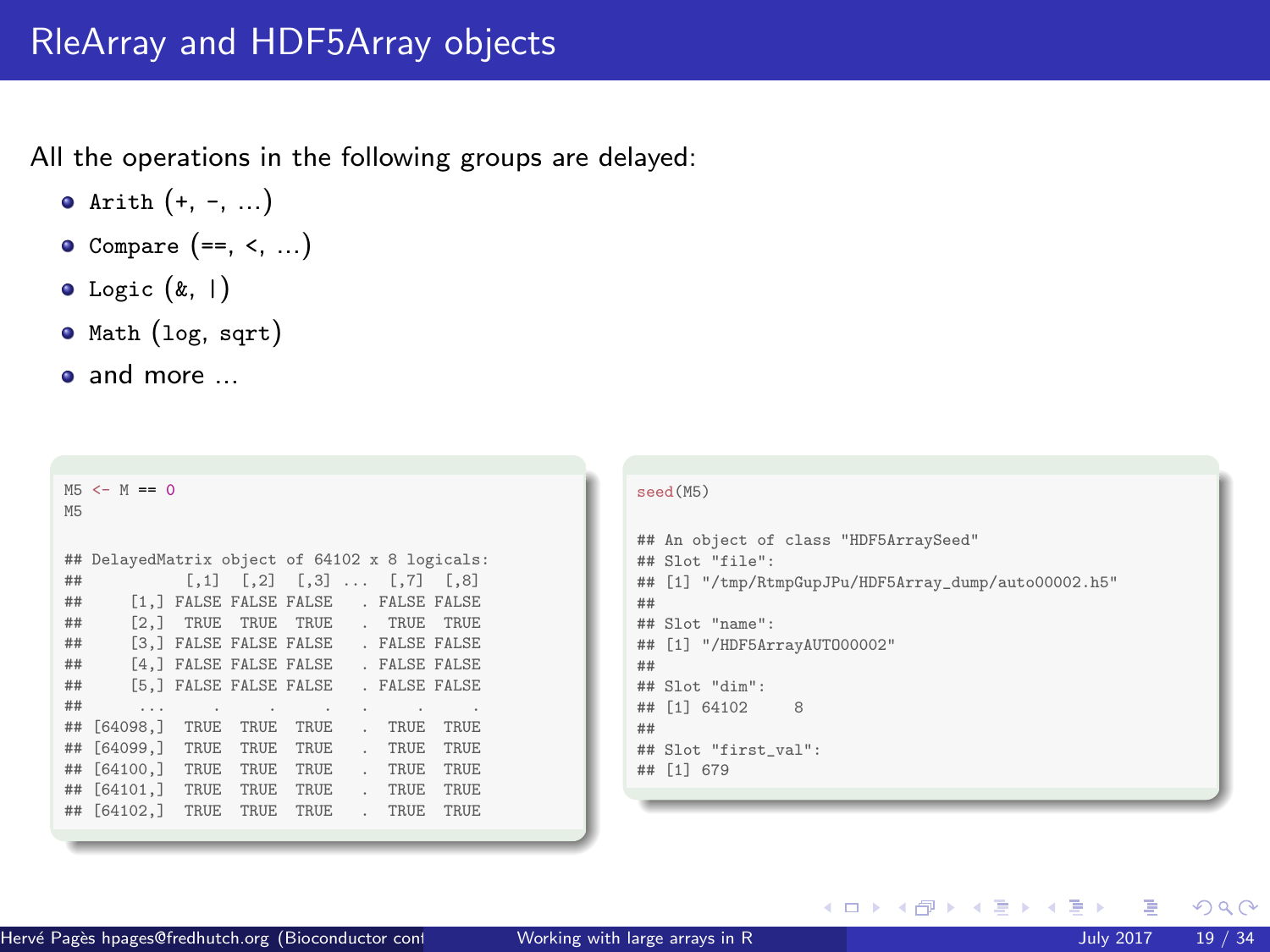All the operations in the following groups are delayed:

- $\bullet$  Arith  $(+, -, ...)$
- $\bullet$  Compare  $(==, <, ...)$
- $\bullet$  Logic  $(k, 1)$
- Math (log, sqrt)
- and more ...

| M <sub>5</sub> | $MS < - M == 0$                                |                     |        |                                                  |              |               |      | seed(M5)                                                |
|----------------|------------------------------------------------|---------------------|--------|--------------------------------------------------|--------------|---------------|------|---------------------------------------------------------|
|                |                                                |                     |        |                                                  |              |               |      | ## An object of class "HDF5ArraySeed"                   |
|                | ## DelayedMatrix object of 64102 x 8 logicals: |                     |        |                                                  |              |               |      | ## Slot "file":                                         |
| ##             |                                                |                     |        | $[0,1]$ $[0,2]$ $[0,3]$ $\ldots$ $[0,7]$ $[0,8]$ |              |               |      | [1] "/tmp/RtmpGupJPu/HDF5Array_dump/auto00002.h5"<br>## |
| ##             |                                                |                     |        | [1,] FALSE FALSE FALSE . FALSE FALSE             |              |               |      | ##                                                      |
| ##             |                                                | [2.] TRUE TRUE TRUE |        |                                                  |              | . TRUE TRUE   |      | ## Slot "name":                                         |
| ##             |                                                |                     |        | [3.] FALSE FALSE FALSE                           |              | . FALSE FALSE |      | $[1]$ "/HDF5ArrayAUT000002"<br>##                       |
| ##             |                                                |                     |        | [4,] FALSE FALSE FALSE                           |              | . FALSE FALSE |      | ##                                                      |
| ##             |                                                |                     |        | [5.] FALSE FALSE FALSE                           |              | . FALSE FALSE |      | ## Slot "dim":                                          |
| ##             | $\sim$ $\sim$                                  |                     | $\sim$ | <b>Contract Contract</b>                         | $\mathbf{r}$ |               |      | ## [1] 64102<br>8                                       |
| ##             | [64098,]                                       | TRUE                | TRUE   | TRUE                                             | $\sim$       | TRUE          | TRUE | ##                                                      |
| ##             | [64099, ]                                      | TRUE                | TRUE   | TRUE                                             | $\sim$       | TRUE          | TRUE | ## Slot "first_val":                                    |
| ##             | F64100.1                                       | TRUE                | TRUE   | TRUE                                             | $\sim$       | TRUE          | TRUE | ## [1] 679                                              |
| ##             | [64101, ]                                      | TRUE                | TRUE   | TRUE                                             | $\sim$       | TRUE          | TRUE |                                                         |
| ##             | F64102.1                                       | TRUE                | TRUE   | TRUE                                             | $\sim$       | TRUE          | TRUE |                                                         |
|                |                                                |                     |        |                                                  |              |               |      |                                                         |
|                |                                                |                     |        |                                                  |              |               |      |                                                         |

 $299$ 

メロトメ 倒 トメ 差 トメ 差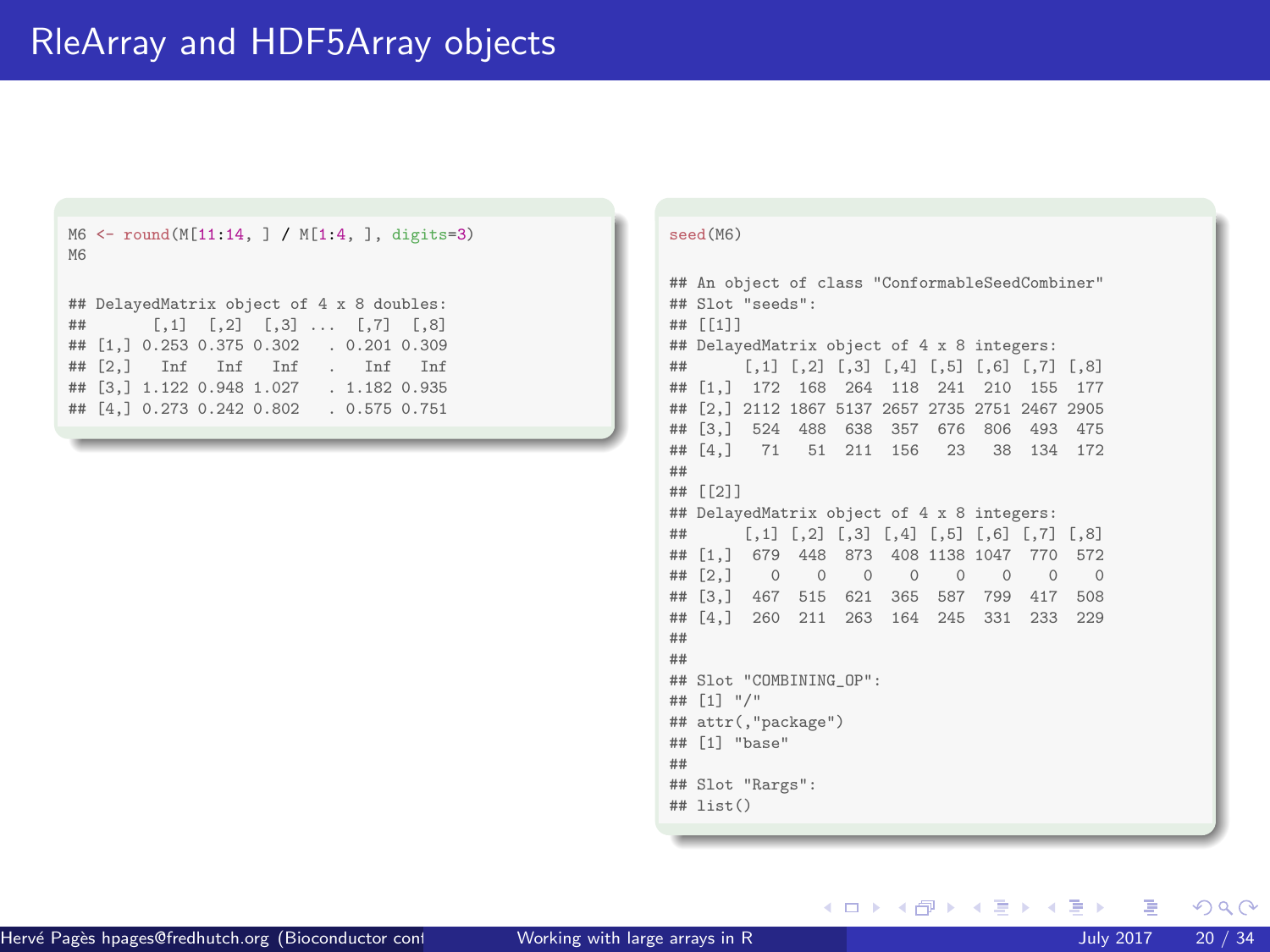```
M6 <- round(M[11:14, ] / M[1:4, ], digits=3)
M6
## DelayedMatrix object of 4 x 8 doubles:
        [0,1] [0,2] [0,3] ... [0,7] [0,8]## [1,] 0.253 0.375 0.302 . 0.201 0.309
## [2,] Inf Inf Inf . Inf Inf
## [3,] 1.122 0.948 1.027 . 1.182 0.935
## [4,] 0.273 0.242 0.802 . 0.575 0.751
```

```
seed(M6)
```

```
## An object of class "ConformableSeedCombiner"
## Slot "seeds":
## [[1]]
## DelayedMatrix object of 4 x 8 integers:
     [1,1] [2] [3] [4] [5] [6] [7] [8]## [1,] 172 168 264 118 241 210 155 177
## [2,] 2112 1867 5137 2657 2735 2751 2467 2905
## [3,] 524 488 638 357 676 806 493 475
## [4,] 71 51 211 156 23 38 134 172
##
## [[2]]
## DelayedMatrix object of 4 x 8 integers:
## [,1] [,2] [,3] [,4] [,5] [,6] [,7] [,8]
## [1,] 679 448 873 408 1138 1047 770 572
## [2,] 0 0 0 0 0 0 0 0
## [3,] 467 515 621 365 587 799 417 508
## [4,] 260 211 263 164 245 331 233 229
##
##
## Slot "COMBINING_OP":
## [1] "/"
## attr(,"package")
## [1] "base"
##
## Slot "Rargs":
## list()
```
メロメ メタメメ ミメメ ヨメ

 $\Omega$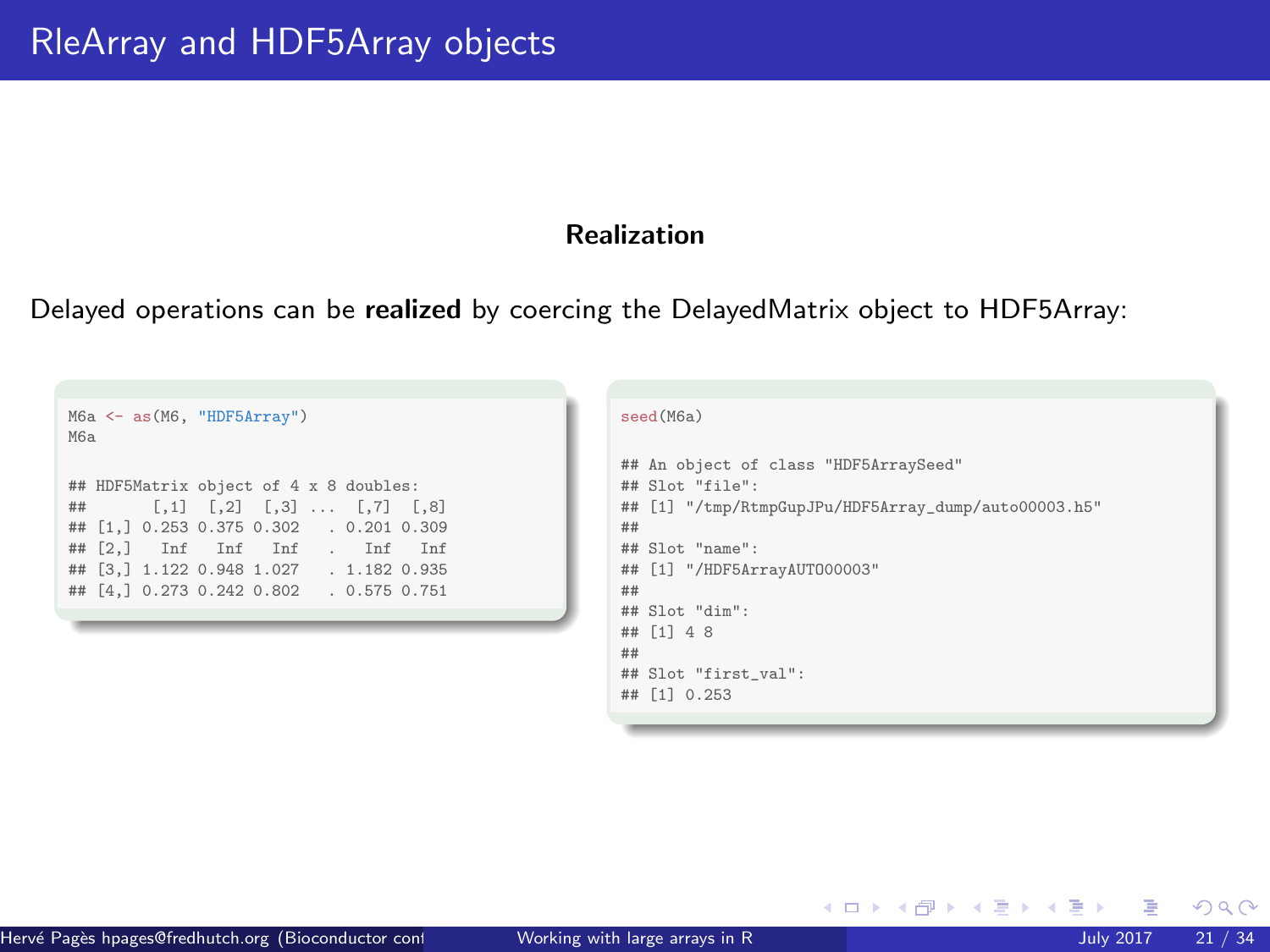# Realization

Delayed operations can be realized by coercing the DelayedMatrix object to HDF5Array:

| M6a <- as (M6, "HDF5Array")<br>M6a                                                                                                                                                                                                                     |  |  |  |  |
|--------------------------------------------------------------------------------------------------------------------------------------------------------------------------------------------------------------------------------------------------------|--|--|--|--|
| ## HDF5Matrix object of 4 x 8 doubles:<br>## $[0,1]$ $[0,2]$ $[0,3]$ $[0,1]$ $[0,8]$<br>## [1,] 0.253 0.375 0.302 . 0.201 0.309<br>## [2,] Inf Inf Inf . Inf Inf<br>## [3.] 1.122 0.948 1.027 . 1.182 0.935<br>## [4.] 0.273 0.242 0.802 . 0.575 0.751 |  |  |  |  |

| seed(M6a)                                                                                                                                                                                             |  |
|-------------------------------------------------------------------------------------------------------------------------------------------------------------------------------------------------------|--|
| ## An object of class "HDF5ArraySeed"<br>$\#$ # Slot "file":<br>## [1] "/tmp/RtmpGupJPu/HDF5Array_dump/auto00003.h5"<br>##<br>## Slot "name":<br>## [1] "/HDF5ArrayAUT000003"<br>##<br>## Slot "dim": |  |
| ## [1] 4 8<br>##                                                                                                                                                                                      |  |
| ## Slot "first val":<br>## [1] 0.253                                                                                                                                                                  |  |

イロト イ御 トイミトイ

 $298$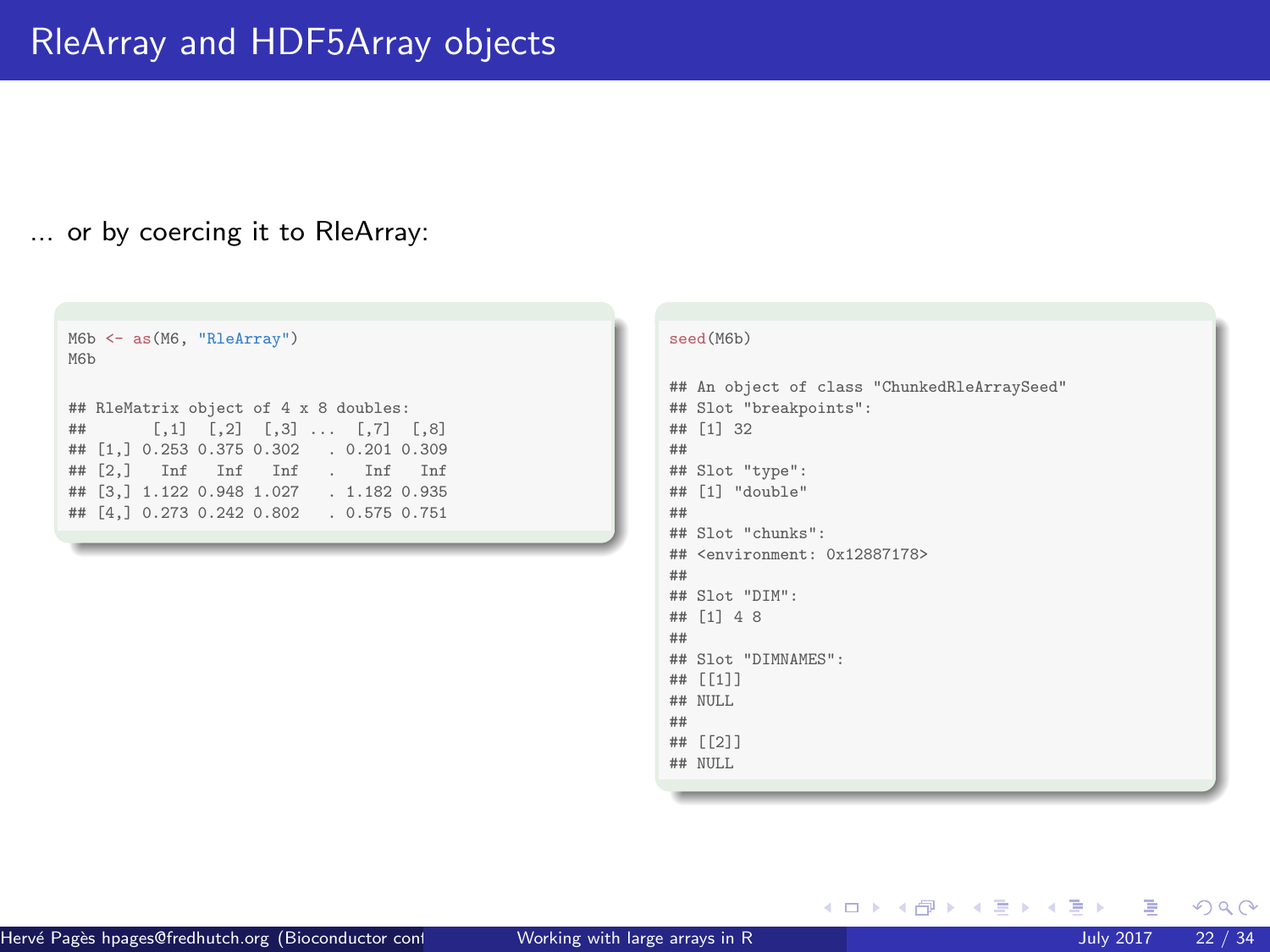## ... or by coercing it to RleArray:

```
M6b <- as(M6, "RleArray")
M6b
## RleMatrix object of 4 x 8 doubles:
      [0,1] [0,2] [0,3] ... [0,7] [0,8]## [1,] 0.253 0.375 0.302 . 0.201 0.309
## [2,] Inf Inf Inf . Inf Inf
## [3,] 1.122 0.948 1.027 . 1.182 0.935
## [4,] 0.273 0.242 0.802 . 0.575 0.751
```
#### seed(M6b)

```
## An object of class "ChunkedRleArraySeed"
## Slot "breakpoints":
## [1] 32
##
## Slot "type":
## [1] "double"
##
## Slot "chunks":
## <environment: 0x12887178>
##
## Slot "DIM":
## [1] 4 8
##
## Slot "DIMNAMES":
## [[1]]
## NULL
##
## [[2]]
## NULL
```
メロメメ 倒 メメ ミメメ ヨメ

э

 $299$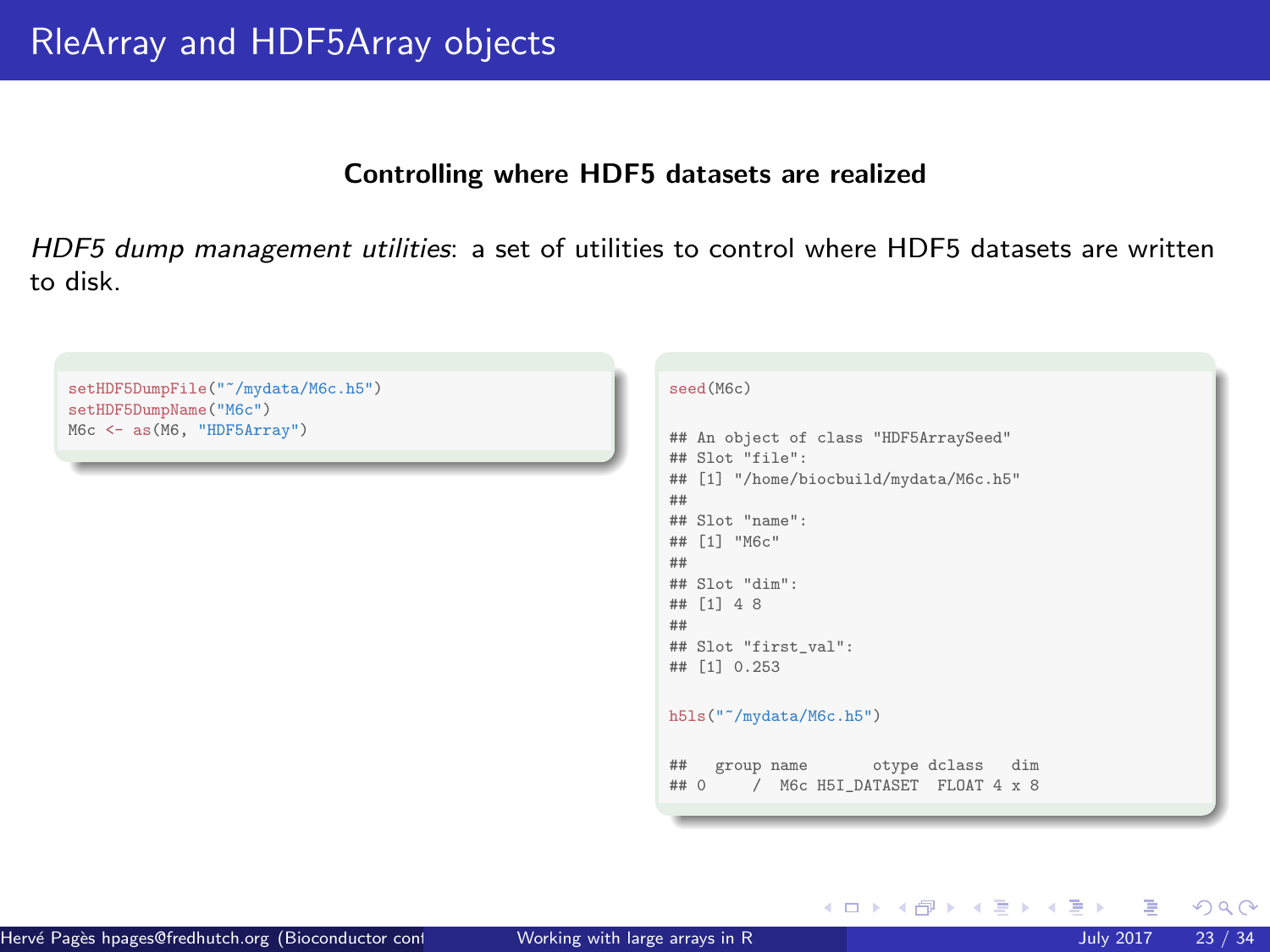#### Controlling where HDF5 datasets are realized

HDF5 dump management utilities: a set of utilities to control where HDF5 datasets are written to disk.

```
setHDF5DumpFile("~/mydata/M6c.h5")
setHDF5DumpName("M6c")
M6c <- as(M6, "HDF5Array")
                                                               seed(M6c)
                                                               ## An object of class "HDF5ArraySeed"
                                                               ## Slot "file":
                                                               ## [1] "/home/biocbuild/mydata/M6c.h5"
                                                               ##
                                                               ## Slot "name":
                                                               ## [1] "M6c"
                                                               ##
                                                               ## Slot "dim":
                                                               ## [1] 4 8
                                                               ##
                                                               ## Slot "first_val":
                                                               ## [1] 0.253
                                                               h5ls("~/mydata/M6c.h5")
                                                               ## group name otype dclass dim
                                                               ## 0 / M6c H5I_DATASET FLOAT 4 x 8
```
 $\Omega$ 

メロトメ 倒 トメ ミトメ ミト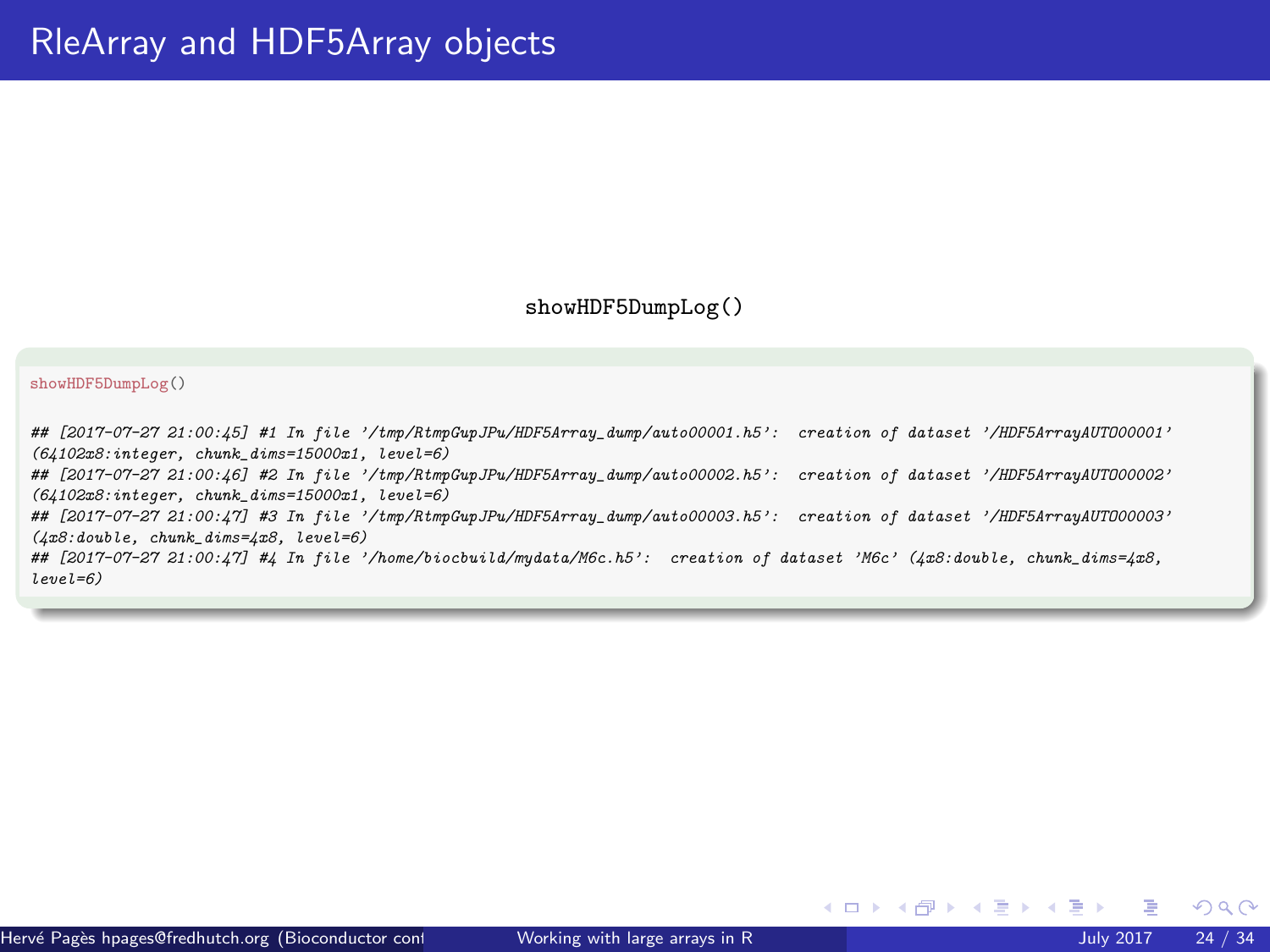#### showHDF5DumpLog()

#### showHDF5DumpLog()

## [2017-07-27 21:00:45] #1 In file '/tmp/RtmpGupJPu/HDF5Array\_dump/auto00001.h5': creation of dataset '/HDF5ArrayAUTO00001' (64102x8:integer, chunk\_dims=15000x1, level=6) ## [2017-07-27 21:00:46] #2 In file '/tmp/RtmpGupJPu/HDF5Array\_dump/auto00002.h5': creation of dataset '/HDF5ArrayAUTO00002'  $(64102x8:integer, chunk \text{ dims}=15000x1, level=6)$ ## [2017-07-27 21:00:47] #3 In file '/tmp/RtmpGupJPu/HDF5Array\_dump/auto00003.h5': creation of dataset '/HDF5ArrayAUTO00003'  $(4x8:double, chunk\ dims=4x8, level=6)$ 

## [2017-07-27 21:00:47] #4 In file '/home/biocbuild/mydata/M6c.h5': creation of dataset 'M6c' (4x8:double, chunk\_dims=4x8, level=6)

 $\Omega$ 

メロトメ 倒 トメ ミトメ ミト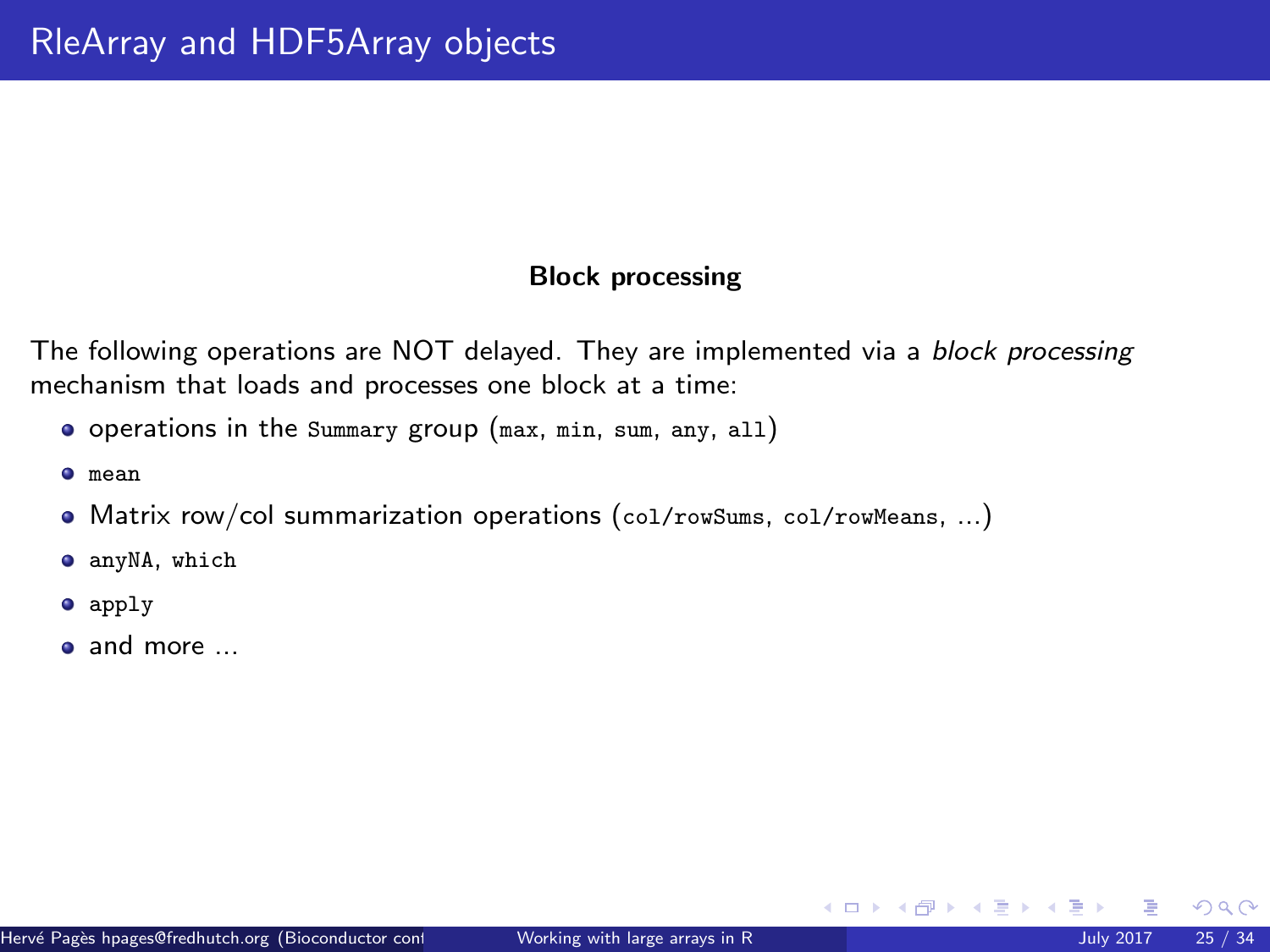# Block processing

The following operations are NOT delayed. They are implemented via a block processing mechanism that loads and processes one block at a time:

- operations in the Summary group (max, min, sum, any, all)
- mean
- Matrix row/col summarization operations (col/rowSums, col/rowMeans, ...)
- $\bullet$  anyNA, which
- **apply**
- and more ...

 $\Omega$ 

メロトメ 倒 トメ ヨ トメ ヨト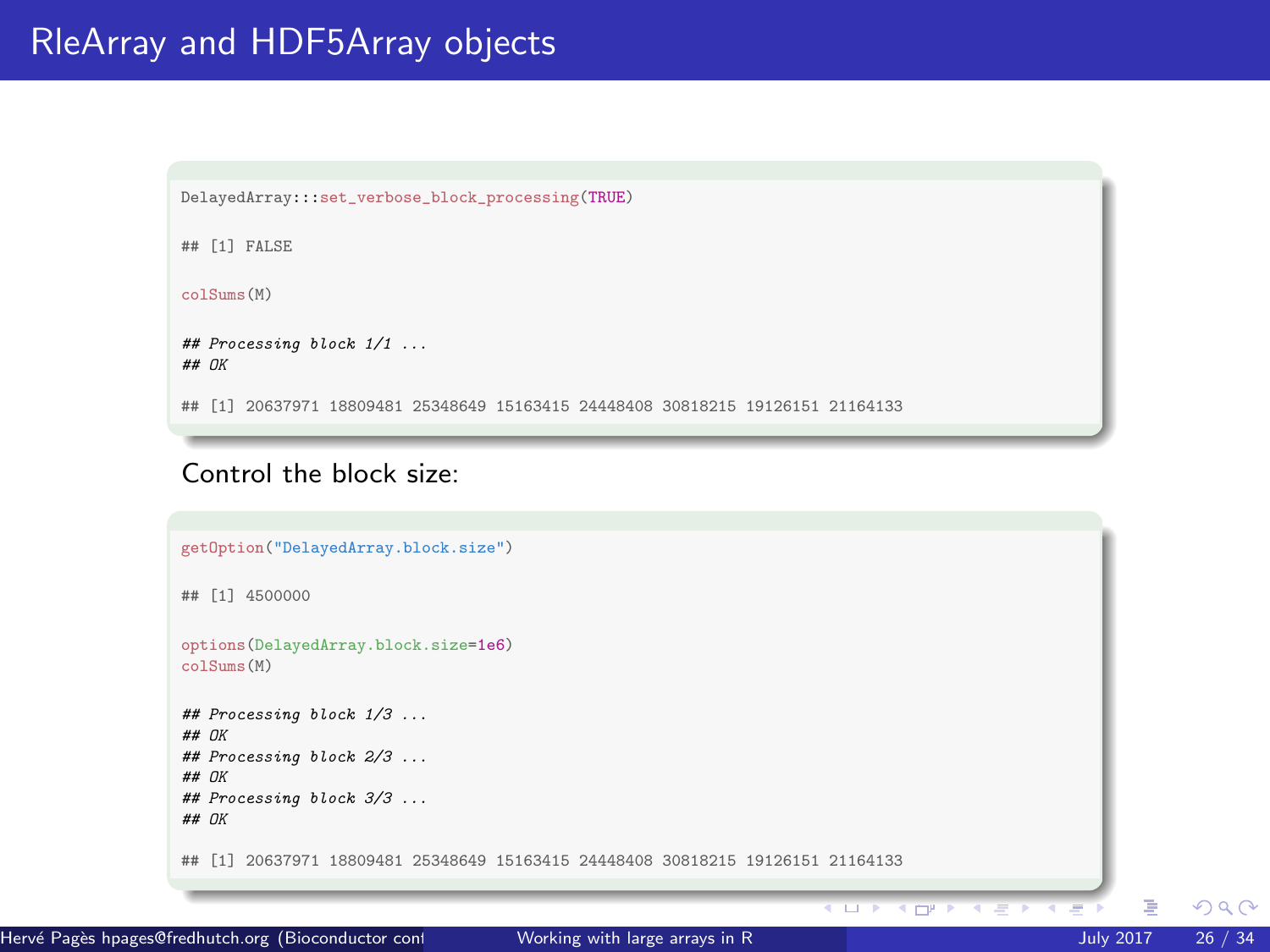```
DelayedArray:::set_verbose_block_processing(TRUE)
## [1] FALSE
colSums(M)
## Processing block 1/1 ...
## OK
## [1] 20637971 18809481 25348649 15163415 24448408 30818215 19126151 21164133
```
# Control the block size:



 $\Omega$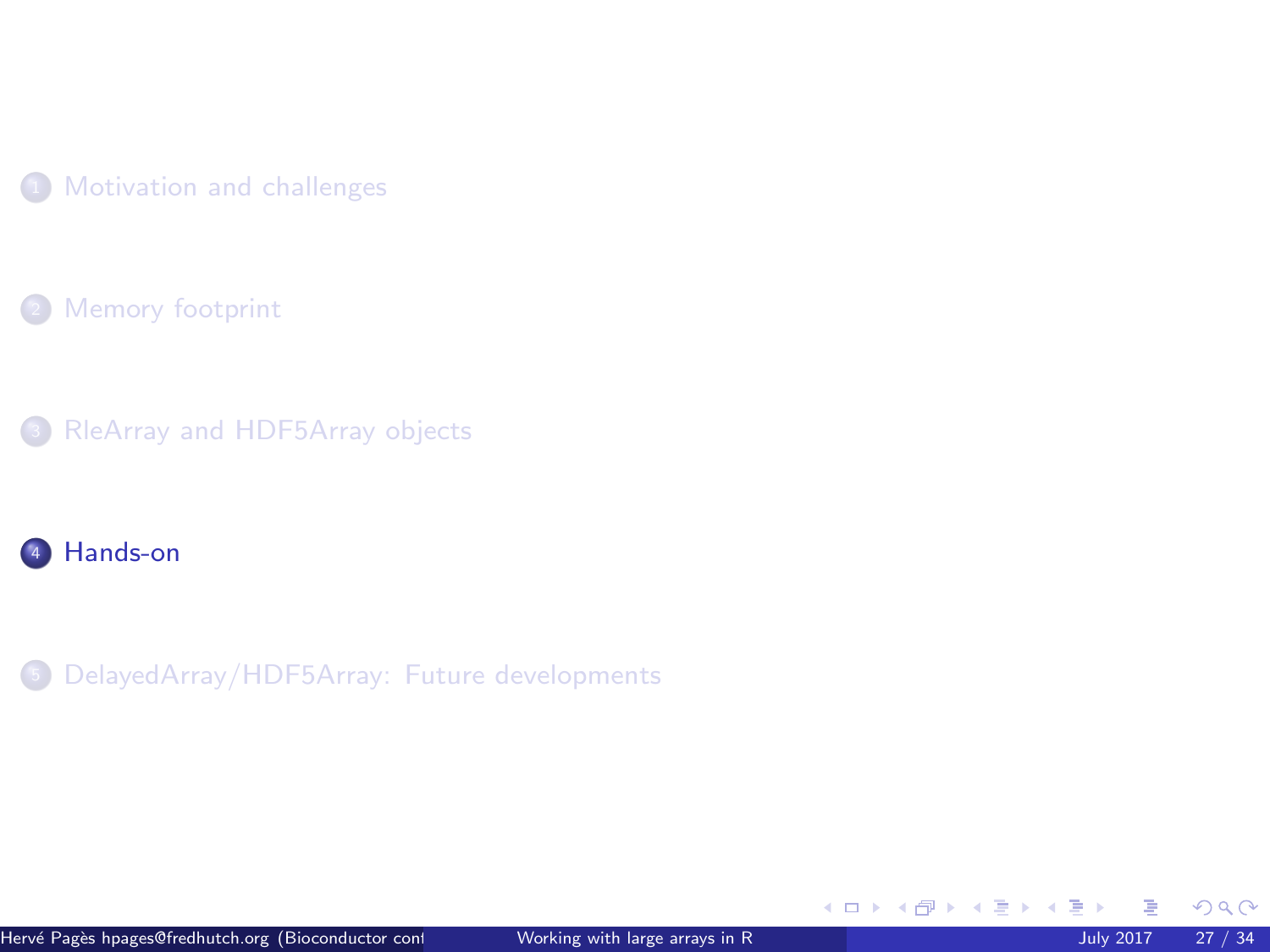<span id="page-26-0"></span>

[Memory footprint](#page-8-0)

[RleArray and HDF5Array objects](#page-12-0)

# [Hands-on](#page-26-0)

[DelayedArray/HDF5Array: Future developments](#page-30-0)

メロメメ 倒 メメ ミメメ 毛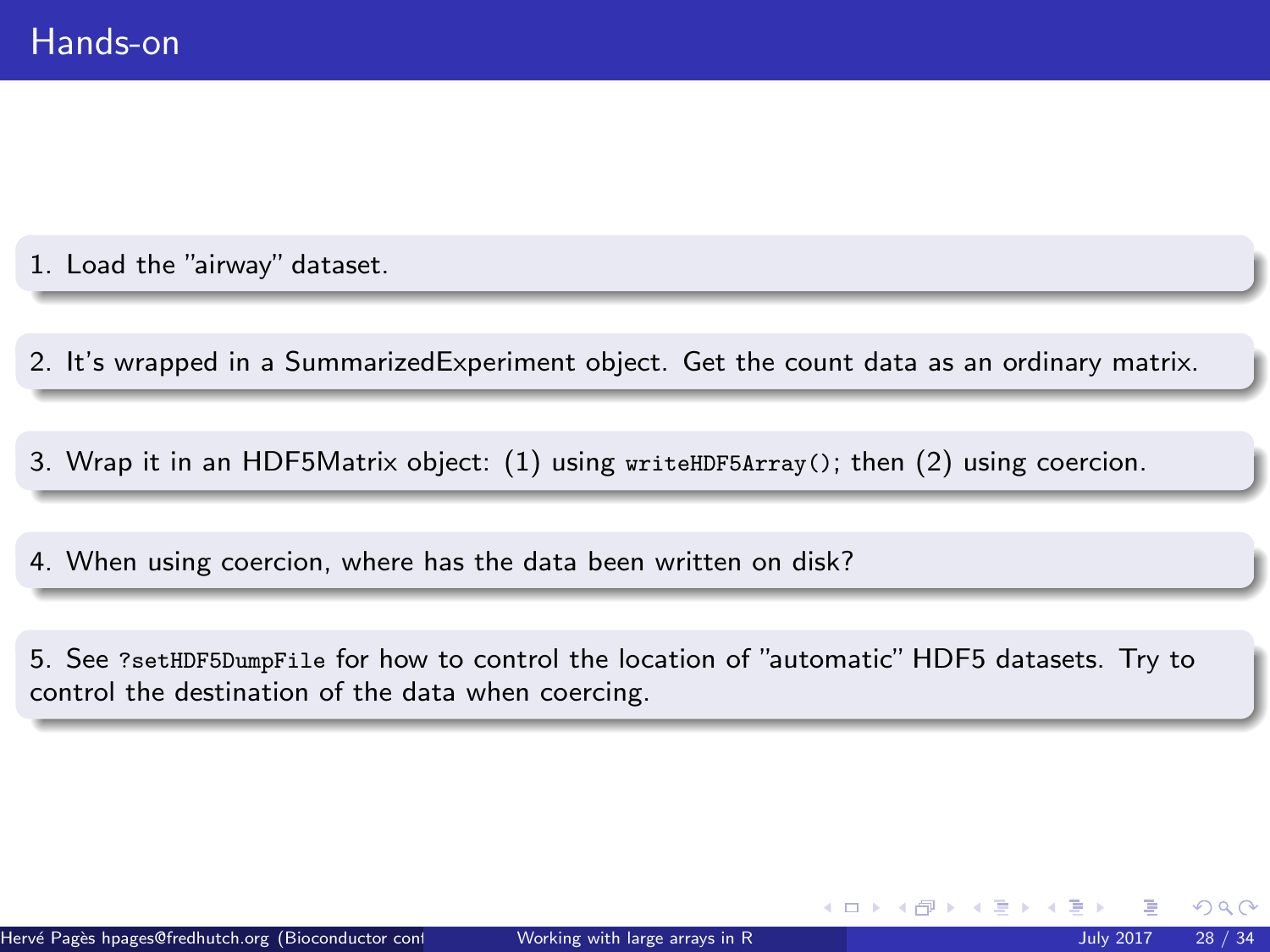1. Load the "airway" dataset.

2. It's wrapped in a SummarizedExperiment object. Get the count data as an ordinary matrix.

3. Wrap it in an HDF5Matrix object: (1) using writeHDF5Array(); then (2) using coercion.

4. When using coercion, where has the data been written on disk?

5. See ?setHDF5DumpFile for how to control the location of "automatic" HDF5 datasets. Try to control the destination of the data when coercing.

 $\Omega$ 

 $\leftarrow$   $\leftarrow$   $\leftarrow$   $\leftarrow$   $\leftarrow$   $\leftarrow$   $\leftarrow$   $\leftarrow$   $\leftarrow$   $\leftarrow$   $\leftarrow$   $\leftarrow$   $\leftarrow$   $\leftarrow$   $\leftarrow$   $\leftarrow$   $\leftarrow$   $\leftarrow$   $\leftarrow$   $\leftarrow$   $\leftarrow$   $\leftarrow$   $\leftarrow$   $\leftarrow$   $\leftarrow$   $\leftarrow$   $\leftarrow$   $\leftarrow$   $\leftarrow$   $\leftarrow$   $\leftarrow$   $\leftarrow$   $\leftarrow$   $\leftarrow$   $\leftarrow$   $\leftarrow$   $\leftarrow$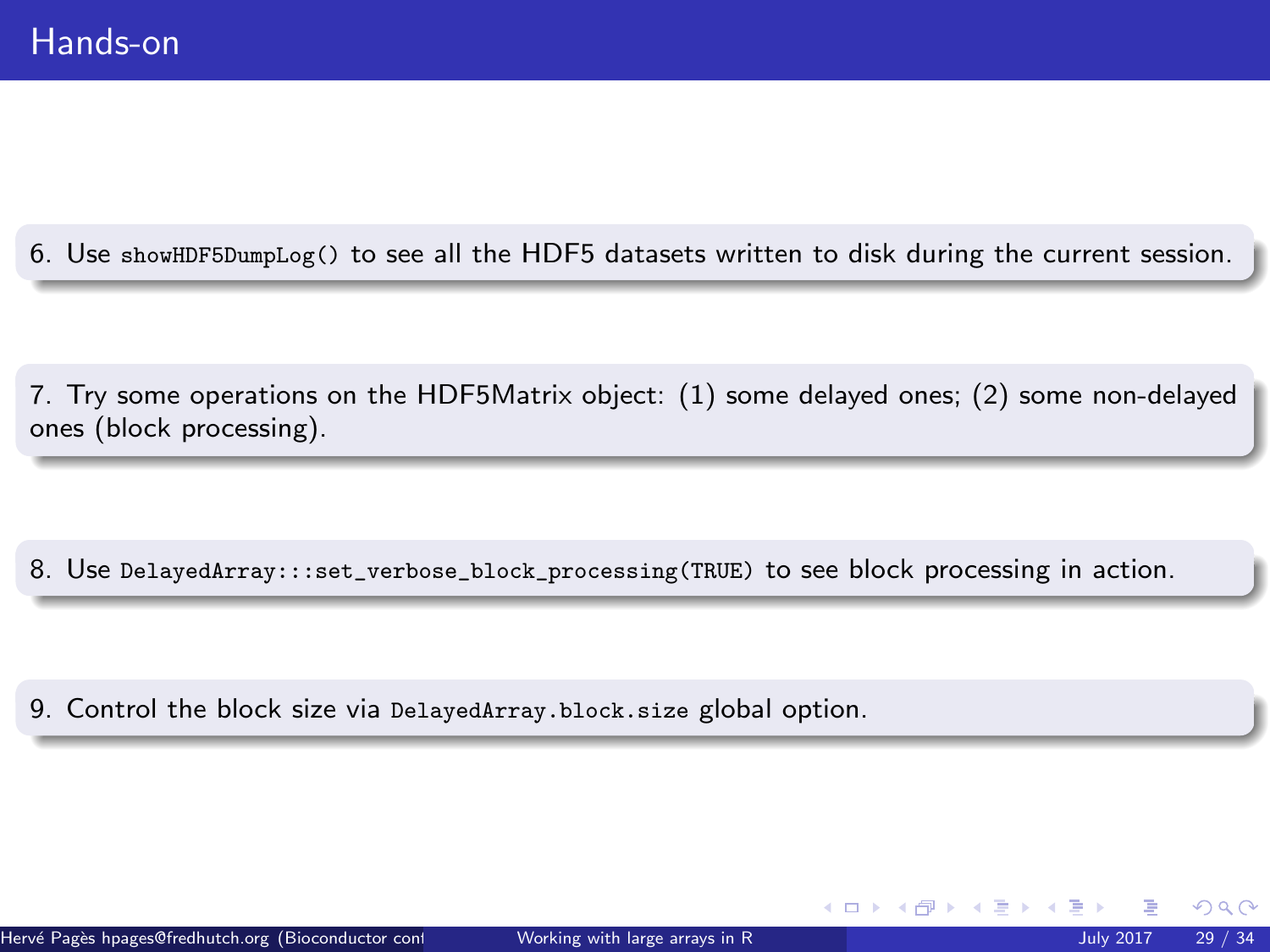6. Use showHDF5DumpLog() to see all the HDF5 datasets written to disk during the current session.

7. Try some operations on the HDF5Matrix object: (1) some delayed ones; (2) some non-delayed ones (block processing).

8. Use DelayedArray:::set\_verbose\_block\_processing(TRUE) to see block processing in action.

9. Control the block size via DelayedArray.block.size global option.

 $\Omega$ 

 $\left\{ \begin{array}{ccc} \square & \rightarrow & \left\{ \bigcap \mathbb{R} \right. \right\} & \left\{ \begin{array}{ccc} \square & \rightarrow & \left\{ \end{array} \right. \right. \right. \end{array}$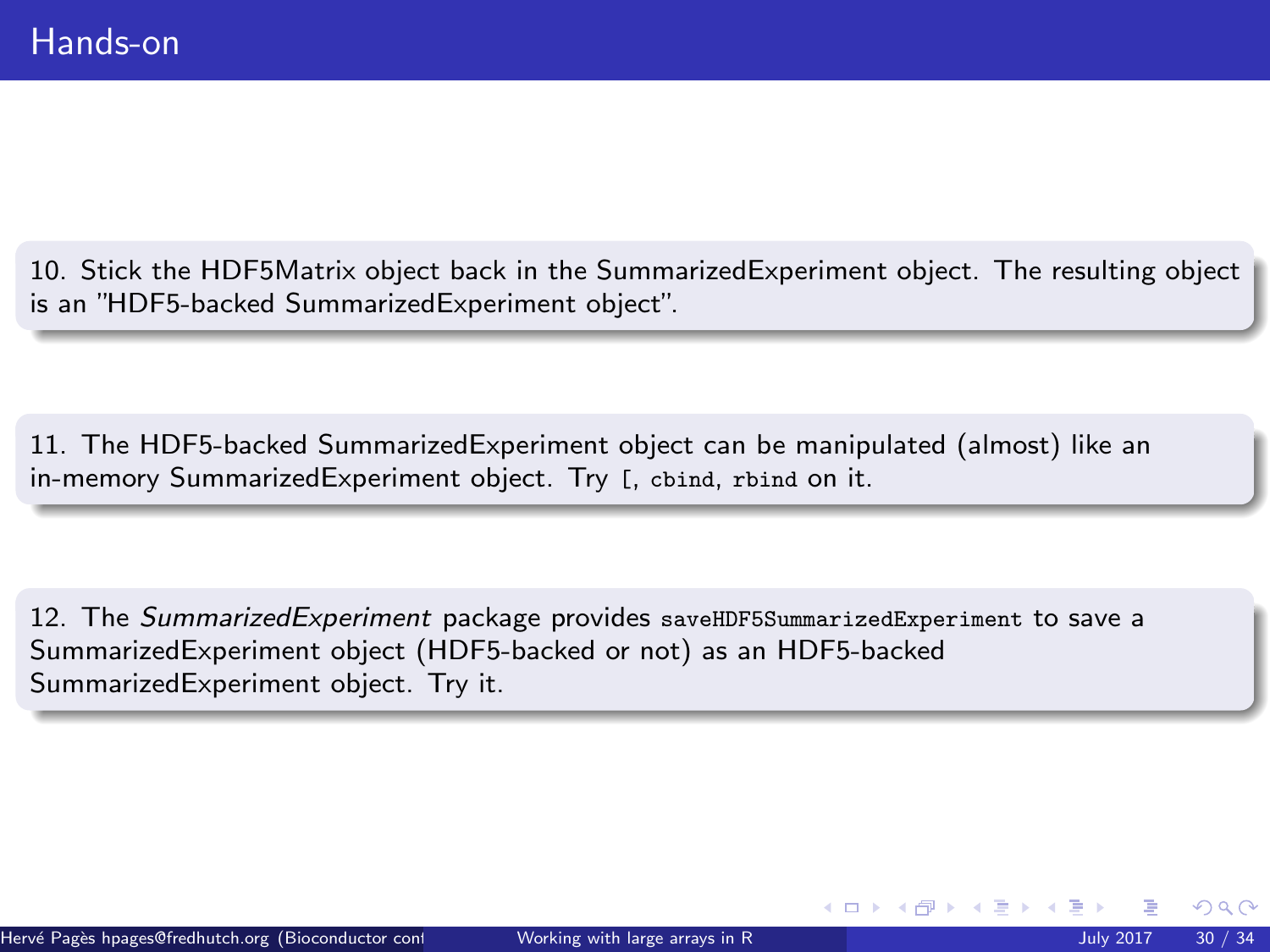10. Stick the HDF5Matrix object back in the SummarizedExperiment object. The resulting object is an "HDF5-backed SummarizedExperiment object".

11. The HDF5-backed SummarizedExperiment object can be manipulated (almost) like an in-memory SummarizedExperiment object. Try [, cbind, rbind on it.

12. The [SummarizedExperiment](http://bioconductor.org/packages/release/bioc/html/SummarizedExperiment.html) package provides saveHDF5SummarizedExperiment to save a SummarizedExperiment object (HDF5-backed or not) as an HDF5-backed SummarizedExperiment object. Try it.

 $\Omega$ 

 $\leftarrow$   $\leftarrow$   $\leftarrow$   $\leftarrow$   $\leftarrow$   $\leftarrow$   $\leftarrow$   $\leftarrow$   $\leftarrow$   $\leftarrow$   $\leftarrow$   $\leftarrow$   $\leftarrow$   $\leftarrow$   $\leftarrow$   $\leftarrow$   $\leftarrow$   $\leftarrow$   $\leftarrow$   $\leftarrow$   $\leftarrow$   $\leftarrow$   $\leftarrow$   $\leftarrow$   $\leftarrow$   $\leftarrow$   $\leftarrow$   $\leftarrow$   $\leftarrow$   $\leftarrow$   $\leftarrow$   $\leftarrow$   $\leftarrow$   $\leftarrow$   $\leftarrow$   $\leftarrow$   $\leftarrow$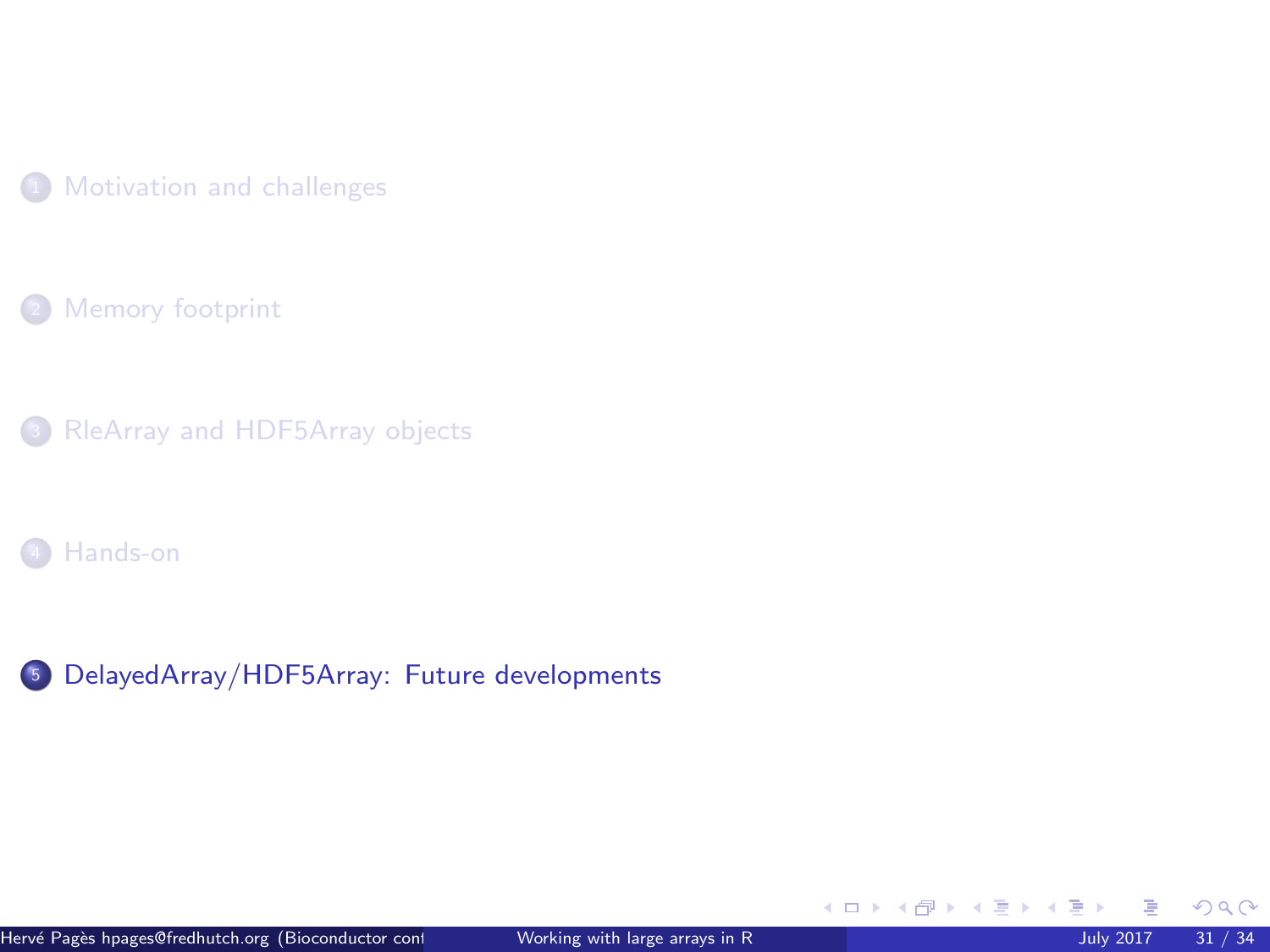<span id="page-30-0"></span>

[Memory footprint](#page-8-0)

[RleArray and HDF5Array objects](#page-12-0)

[Hands-on](#page-26-0)

<sup>5</sup> [DelayedArray/HDF5Array: Future developments](#page-30-0)

 $299$ 

メロメメ 倒 メメ ミメメ 毛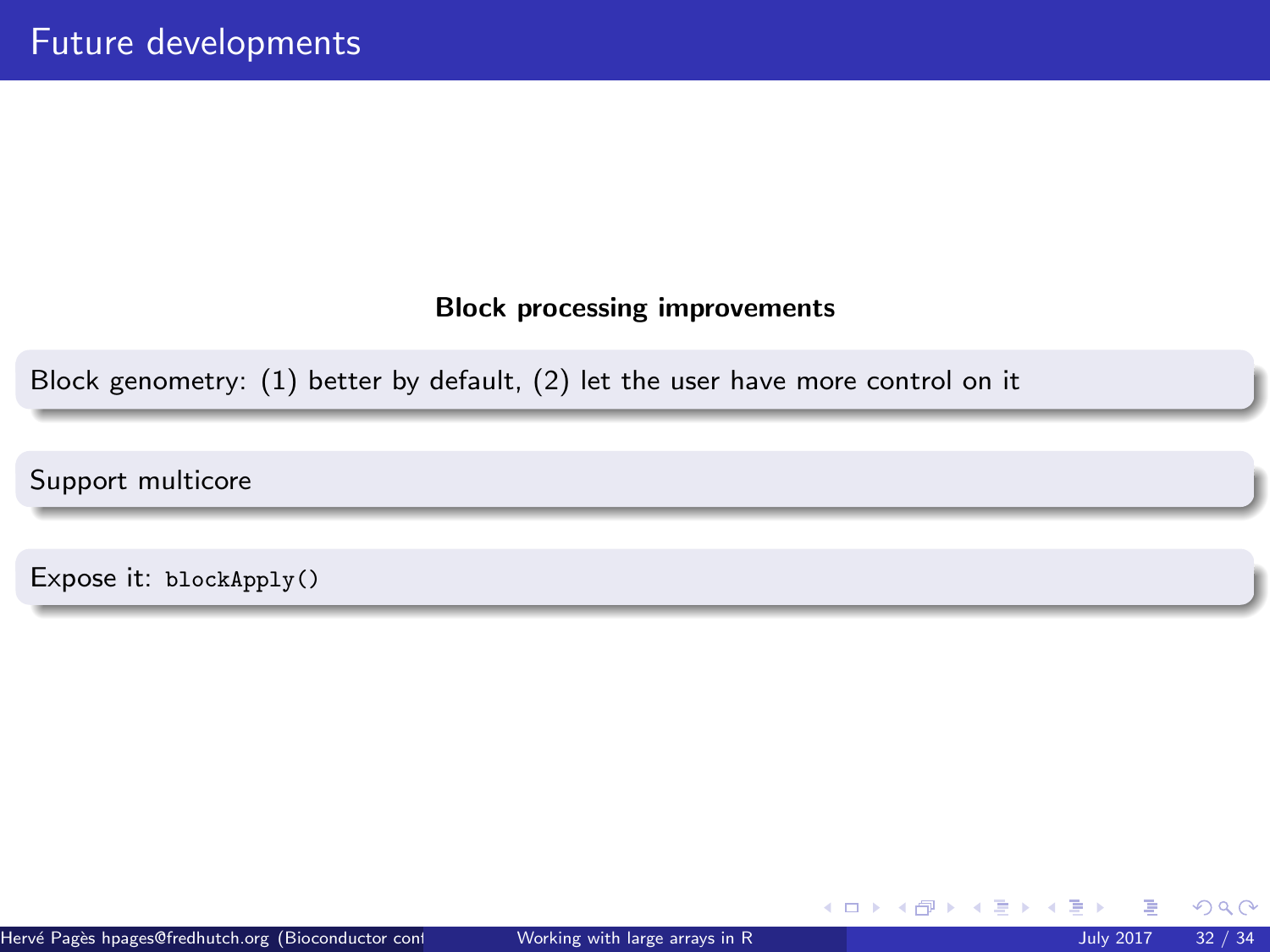# Block processing improvements

Block genometry: (1) better by default, (2) let the user have more control on it

Support multicore

Expose it: blockApply()

 $QQ$ 

メロトメ 倒 トメ ヨ トメ ヨト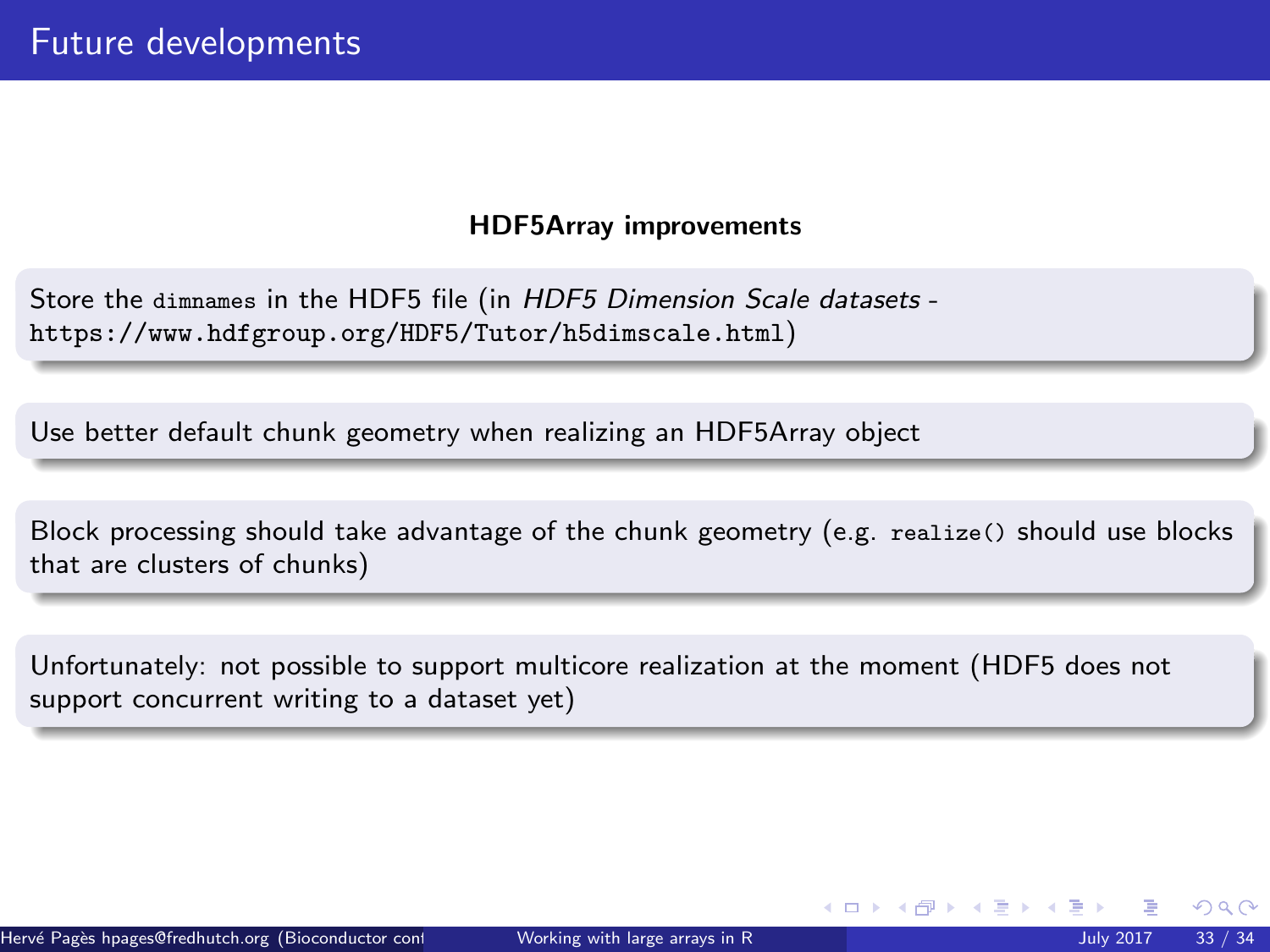# HDF5Array improvements

Store the dimnames in the HDF5 file (in HDF5 Dimension Scale datasets <https://www.hdfgroup.org/HDF5/Tutor/h5dimscale.html>)

Use better default chunk geometry when realizing an HDF5Array object

Block processing should take advantage of the chunk geometry (e.g. realize() should use blocks that are clusters of chunks)

Unfortunately: not possible to support multicore realization at the moment (HDF5 does not support concurrent writing to a dataset yet)

 $\Omega$ 

イロト イ部 トイミトイ